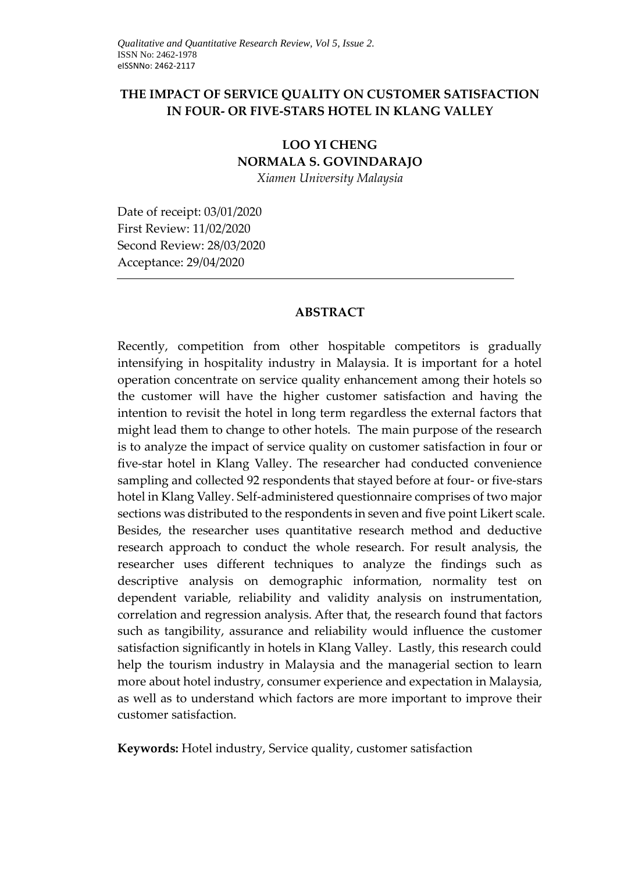## **THE IMPACT OF SERVICE QUALITY ON CUSTOMER SATISFACTION IN FOUR- OR FIVE-STARS HOTEL IN KLANG VALLEY**

# **LOO YI CHENG NORMALA S. GOVINDARAJO**

*Xiamen University Malaysia* 

Date of receipt: 03/01/2020 First Review: 11/02/2020 Second Review: 28/03/2020 Acceptance: 29/04/2020

## **ABSTRACT**

Recently, competition from other hospitable competitors is gradually intensifying in hospitality industry in Malaysia. It is important for a hotel operation concentrate on service quality enhancement among their hotels so the customer will have the higher customer satisfaction and having the intention to revisit the hotel in long term regardless the external factors that might lead them to change to other hotels. The main purpose of the research is to analyze the impact of service quality on customer satisfaction in four or five-star hotel in Klang Valley. The researcher had conducted convenience sampling and collected 92 respondents that stayed before at four- or five-stars hotel in Klang Valley. Self-administered questionnaire comprises of two major sections was distributed to the respondents in seven and five point Likert scale. Besides, the researcher uses quantitative research method and deductive research approach to conduct the whole research. For result analysis, the researcher uses different techniques to analyze the findings such as descriptive analysis on demographic information, normality test on dependent variable, reliability and validity analysis on instrumentation, correlation and regression analysis. After that, the research found that factors such as tangibility, assurance and reliability would influence the customer satisfaction significantly in hotels in Klang Valley. Lastly, this research could help the tourism industry in Malaysia and the managerial section to learn more about hotel industry, consumer experience and expectation in Malaysia, as well as to understand which factors are more important to improve their customer satisfaction.

**Keywords:** Hotel industry, Service quality, customer satisfaction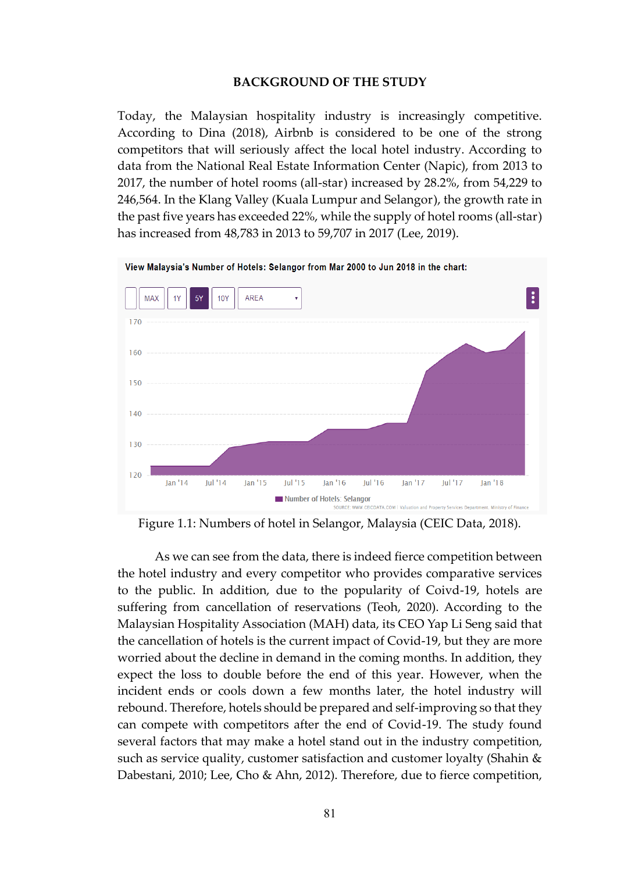#### **BACKGROUND OF THE STUDY**

Today, the Malaysian hospitality industry is increasingly competitive. According to Dina (2018), Airbnb is considered to be one of the strong competitors that will seriously affect the local hotel industry. According to data from the National Real Estate Information Center (Napic), from 2013 to 2017, the number of hotel rooms (all-star) increased by 28.2%, from 54,229 to 246,564. In the Klang Valley (Kuala Lumpur and Selangor), the growth rate in the past five years has exceeded 22%, while the supply of hotel rooms (all-star) has increased from 48,783 in 2013 to 59,707 in 2017 (Lee, 2019).



Figure 1.1: Numbers of hotel in Selangor, Malaysia (CEIC Data, 2018).

As we can see from the data, there is indeed fierce competition between the hotel industry and every competitor who provides comparative services to the public. In addition, due to the popularity of Coivd-19, hotels are suffering from cancellation of reservations (Teoh, 2020). According to the Malaysian Hospitality Association (MAH) data, its CEO Yap Li Seng said that the cancellation of hotels is the current impact of Covid-19, but they are more worried about the decline in demand in the coming months. In addition, they expect the loss to double before the end of this year. However, when the incident ends or cools down a few months later, the hotel industry will rebound. Therefore, hotels should be prepared and self-improving so that they can compete with competitors after the end of Covid-19. The study found several factors that may make a hotel stand out in the industry competition, such as service quality, customer satisfaction and customer loyalty (Shahin & Dabestani, 2010; Lee, Cho & Ahn, 2012). Therefore, due to fierce competition,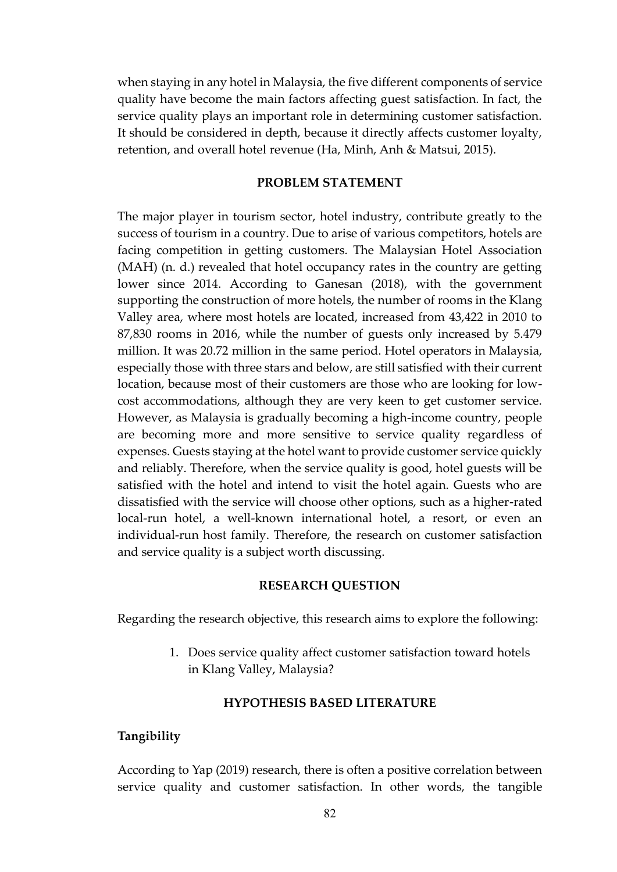when staying in any hotel in Malaysia, the five different components of service quality have become the main factors affecting guest satisfaction. In fact, the service quality plays an important role in determining customer satisfaction. It should be considered in depth, because it directly affects customer loyalty, retention, and overall hotel revenue (Ha, Minh, Anh & Matsui, 2015).

#### **PROBLEM STATEMENT**

The major player in tourism sector, hotel industry, contribute greatly to the success of tourism in a country. Due to arise of various competitors, hotels are facing competition in getting customers. The Malaysian Hotel Association (MAH) (n. d.) revealed that hotel occupancy rates in the country are getting lower since 2014. According to Ganesan (2018), with the government supporting the construction of more hotels, the number of rooms in the Klang Valley area, where most hotels are located, increased from 43,422 in 2010 to 87,830 rooms in 2016, while the number of guests only increased by 5.479 million. It was 20.72 million in the same period. Hotel operators in Malaysia, especially those with three stars and below, are still satisfied with their current location, because most of their customers are those who are looking for lowcost accommodations, although they are very keen to get customer service. However, as Malaysia is gradually becoming a high-income country, people are becoming more and more sensitive to service quality regardless of expenses. Guests staying at the hotel want to provide customer service quickly and reliably. Therefore, when the service quality is good, hotel guests will be satisfied with the hotel and intend to visit the hotel again. Guests who are dissatisfied with the service will choose other options, such as a higher-rated local-run hotel, a well-known international hotel, a resort, or even an individual-run host family. Therefore, the research on customer satisfaction and service quality is a subject worth discussing.

#### **RESEARCH QUESTION**

Regarding the research objective, this research aims to explore the following:

1. Does service quality affect customer satisfaction toward hotels in Klang Valley, Malaysia?

#### **HYPOTHESIS BASED LITERATURE**

#### **Tangibility**

According to Yap (2019) research, there is often a positive correlation between service quality and customer satisfaction. In other words, the tangible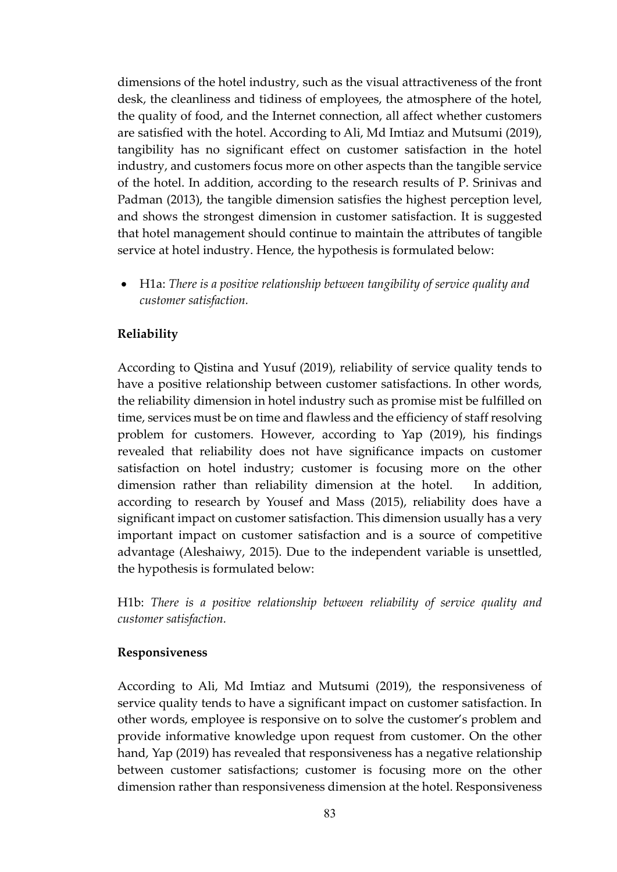dimensions of the hotel industry, such as the visual attractiveness of the front desk, the cleanliness and tidiness of employees, the atmosphere of the hotel, the quality of food, and the Internet connection, all affect whether customers are satisfied with the hotel. According to Ali, Md Imtiaz and Mutsumi (2019), tangibility has no significant effect on customer satisfaction in the hotel industry, and customers focus more on other aspects than the tangible service of the hotel. In addition, according to the research results of P. Srinivas and Padman (2013), the tangible dimension satisfies the highest perception level, and shows the strongest dimension in customer satisfaction. It is suggested that hotel management should continue to maintain the attributes of tangible service at hotel industry. Hence, the hypothesis is formulated below:

• H1a: *There is a positive relationship between tangibility of service quality and customer satisfaction.*

## **Reliability**

According to Qistina and Yusuf (2019), reliability of service quality tends to have a positive relationship between customer satisfactions. In other words, the reliability dimension in hotel industry such as promise mist be fulfilled on time, services must be on time and flawless and the efficiency of staff resolving problem for customers. However, according to Yap (2019), his findings revealed that reliability does not have significance impacts on customer satisfaction on hotel industry; customer is focusing more on the other dimension rather than reliability dimension at the hotel. In addition, according to research by Yousef and Mass (2015), reliability does have a significant impact on customer satisfaction. This dimension usually has a very important impact on customer satisfaction and is a source of competitive advantage (Aleshaiwy, 2015). Due to the independent variable is unsettled, the hypothesis is formulated below:

H1b: *There is a positive relationship between reliability of service quality and customer satisfaction.*

#### **Responsiveness**

According to Ali, Md Imtiaz and Mutsumi (2019), the responsiveness of service quality tends to have a significant impact on customer satisfaction. In other words, employee is responsive on to solve the customer's problem and provide informative knowledge upon request from customer. On the other hand, Yap (2019) has revealed that responsiveness has a negative relationship between customer satisfactions; customer is focusing more on the other dimension rather than responsiveness dimension at the hotel. Responsiveness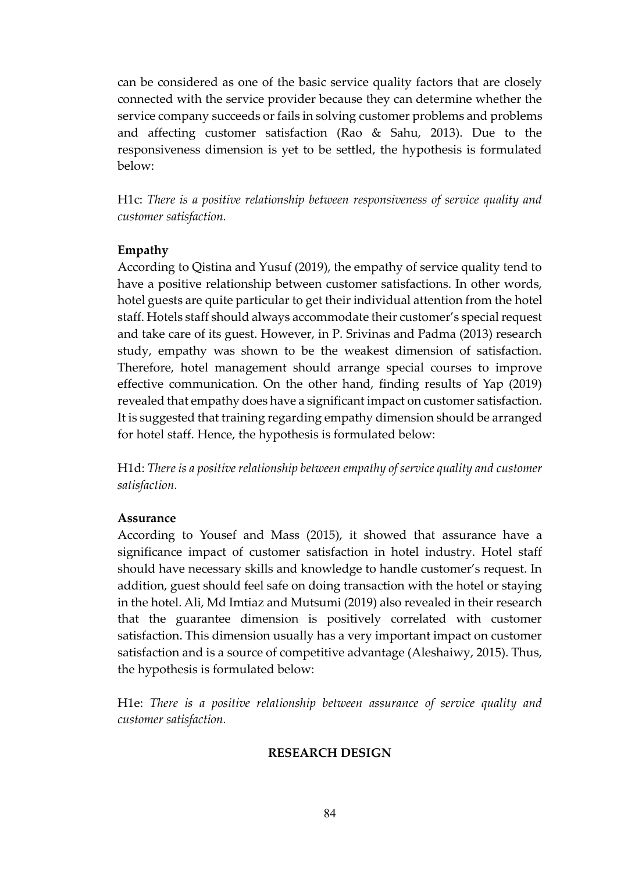can be considered as one of the basic service quality factors that are closely connected with the service provider because they can determine whether the service company succeeds or fails in solving customer problems and problems and affecting customer satisfaction (Rao & Sahu, 2013). Due to the responsiveness dimension is yet to be settled, the hypothesis is formulated below:

H1c: *There is a positive relationship between responsiveness of service quality and customer satisfaction.*

## **Empathy**

According to Qistina and Yusuf (2019), the empathy of service quality tend to have a positive relationship between customer satisfactions. In other words, hotel guests are quite particular to get their individual attention from the hotel staff. Hotels staff should always accommodate their customer's special request and take care of its guest. However, in P. Srivinas and Padma (2013) research study, empathy was shown to be the weakest dimension of satisfaction. Therefore, hotel management should arrange special courses to improve effective communication. On the other hand, finding results of Yap (2019) revealed that empathy does have a significant impact on customer satisfaction. It is suggested that training regarding empathy dimension should be arranged for hotel staff. Hence, the hypothesis is formulated below:

H1d: *There is a positive relationship between empathy of service quality and customer satisfaction.*

## **Assurance**

According to Yousef and Mass (2015), it showed that assurance have a significance impact of customer satisfaction in hotel industry. Hotel staff should have necessary skills and knowledge to handle customer's request. In addition, guest should feel safe on doing transaction with the hotel or staying in the hotel. Ali, Md Imtiaz and Mutsumi (2019) also revealed in their research that the guarantee dimension is positively correlated with customer satisfaction. This dimension usually has a very important impact on customer satisfaction and is a source of competitive advantage (Aleshaiwy, 2015). Thus, the hypothesis is formulated below:

H1e: *There is a positive relationship between assurance of service quality and customer satisfaction.*

## **RESEARCH DESIGN**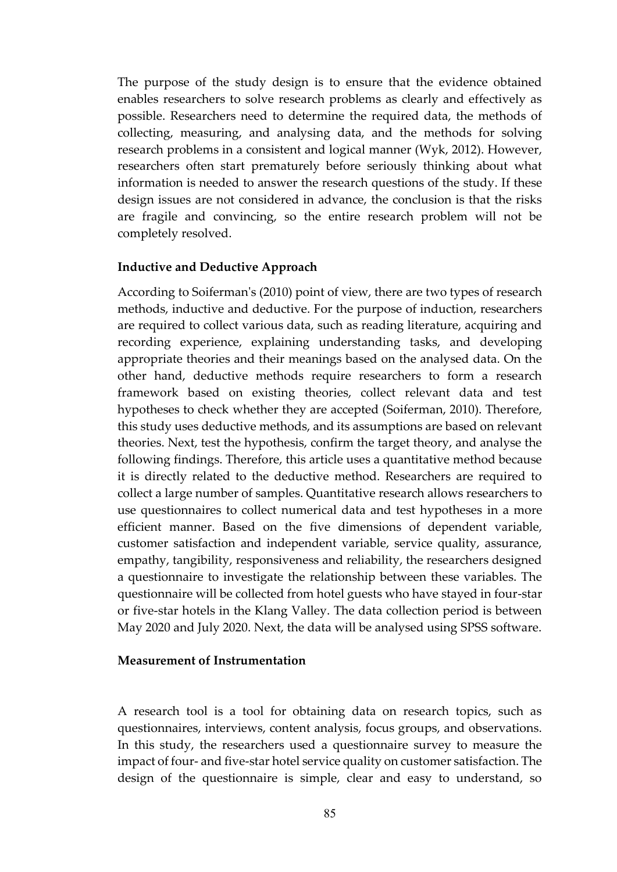The purpose of the study design is to ensure that the evidence obtained enables researchers to solve research problems as clearly and effectively as possible. Researchers need to determine the required data, the methods of collecting, measuring, and analysing data, and the methods for solving research problems in a consistent and logical manner (Wyk, 2012). However, researchers often start prematurely before seriously thinking about what information is needed to answer the research questions of the study. If these design issues are not considered in advance, the conclusion is that the risks are fragile and convincing, so the entire research problem will not be completely resolved.

#### **Inductive and Deductive Approach**

According to Soiferman's (2010) point of view, there are two types of research methods, inductive and deductive. For the purpose of induction, researchers are required to collect various data, such as reading literature, acquiring and recording experience, explaining understanding tasks, and developing appropriate theories and their meanings based on the analysed data. On the other hand, deductive methods require researchers to form a research framework based on existing theories, collect relevant data and test hypotheses to check whether they are accepted (Soiferman, 2010). Therefore, this study uses deductive methods, and its assumptions are based on relevant theories. Next, test the hypothesis, confirm the target theory, and analyse the following findings. Therefore, this article uses a quantitative method because it is directly related to the deductive method. Researchers are required to collect a large number of samples. Quantitative research allows researchers to use questionnaires to collect numerical data and test hypotheses in a more efficient manner. Based on the five dimensions of dependent variable, customer satisfaction and independent variable, service quality, assurance, empathy, tangibility, responsiveness and reliability, the researchers designed a questionnaire to investigate the relationship between these variables. The questionnaire will be collected from hotel guests who have stayed in four-star or five-star hotels in the Klang Valley. The data collection period is between May 2020 and July 2020. Next, the data will be analysed using SPSS software.

#### **Measurement of Instrumentation**

A research tool is a tool for obtaining data on research topics, such as questionnaires, interviews, content analysis, focus groups, and observations. In this study, the researchers used a questionnaire survey to measure the impact of four- and five-star hotel service quality on customer satisfaction. The design of the questionnaire is simple, clear and easy to understand, so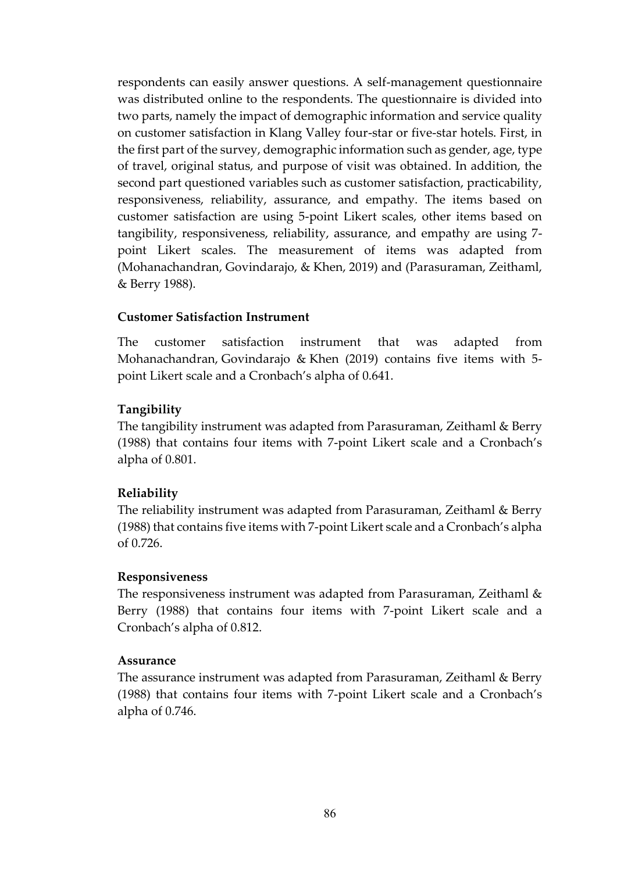respondents can easily answer questions. A self-management questionnaire was distributed online to the respondents. The questionnaire is divided into two parts, namely the impact of demographic information and service quality on customer satisfaction in Klang Valley four-star or five-star hotels. First, in the first part of the survey, demographic information such as gender, age, type of travel, original status, and purpose of visit was obtained. In addition, the second part questioned variables such as customer satisfaction, practicability, responsiveness, reliability, assurance, and empathy. The items based on customer satisfaction are using 5-point Likert scales, other items based on tangibility, responsiveness, reliability, assurance, and empathy are using 7 point Likert scales. The measurement of items was adapted from (Mohanachandran, Govindarajo, & Khen, 2019) and (Parasuraman, Zeithaml, & Berry 1988).

## **Customer Satisfaction Instrument**

The customer satisfaction instrument that was adapted from Mohanachandran, Govindarajo & Khen (2019) contains five items with 5 point Likert scale and a Cronbach's alpha of 0.641.

## **Tangibility**

The tangibility instrument was adapted from Parasuraman, Zeithaml & Berry (1988) that contains four items with 7-point Likert scale and a Cronbach's alpha of 0.801.

## **Reliability**

The reliability instrument was adapted from Parasuraman, Zeithaml & Berry (1988) that contains five items with 7-point Likert scale and a Cronbach's alpha of 0.726.

#### **Responsiveness**

The responsiveness instrument was adapted from Parasuraman, Zeithaml & Berry (1988) that contains four items with 7-point Likert scale and a Cronbach's alpha of 0.812.

#### **Assurance**

The assurance instrument was adapted from Parasuraman, Zeithaml & Berry (1988) that contains four items with 7-point Likert scale and a Cronbach's alpha of 0.746.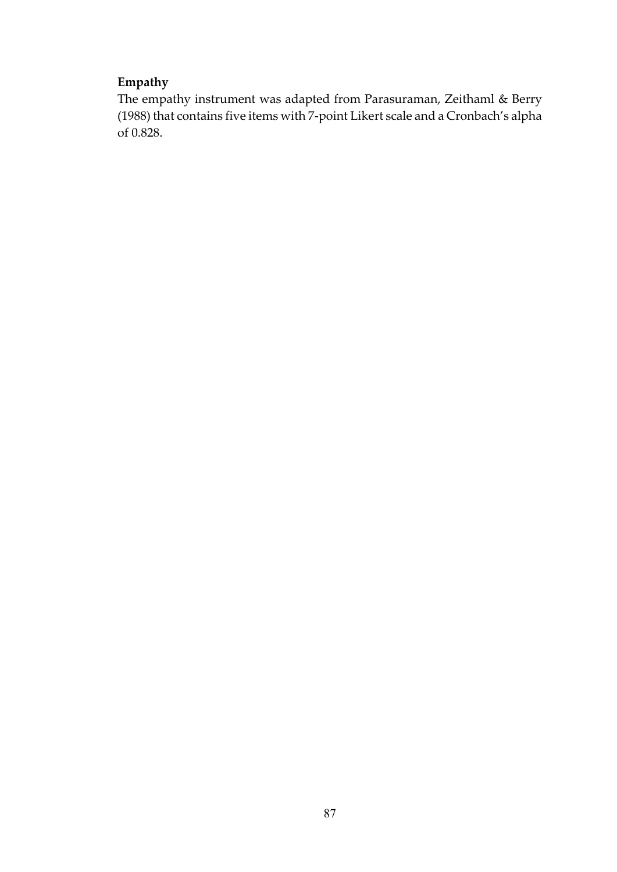# **Empathy**

The empathy instrument was adapted from Parasuraman, Zeithaml & Berry (1988) that contains five items with 7-point Likert scale and a Cronbach's alpha of 0.828.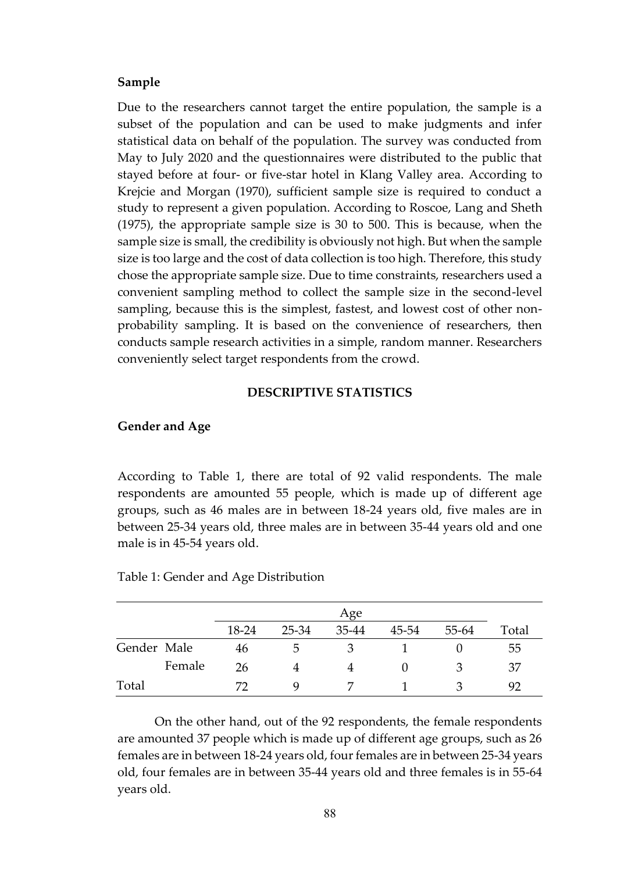#### **Sample**

Due to the researchers cannot target the entire population, the sample is a subset of the population and can be used to make judgments and infer statistical data on behalf of the population. The survey was conducted from May to July 2020 and the questionnaires were distributed to the public that stayed before at four- or five-star hotel in Klang Valley area. According to Krejcie and Morgan (1970), sufficient sample size is required to conduct a study to represent a given population. According to Roscoe, Lang and Sheth (1975), the appropriate sample size is 30 to 500. This is because, when the sample size is small, the credibility is obviously not high. But when the sample size is too large and the cost of data collection is too high. Therefore, this study chose the appropriate sample size. Due to time constraints, researchers used a convenient sampling method to collect the sample size in the second-level sampling, because this is the simplest, fastest, and lowest cost of other nonprobability sampling. It is based on the convenience of researchers, then conducts sample research activities in a simple, random manner. Researchers conveniently select target respondents from the crowd.

#### **DESCRIPTIVE STATISTICS**

#### **Gender and Age**

According to Table 1, there are total of 92 valid respondents. The male respondents are amounted 55 people, which is made up of different age groups, such as 46 males are in between 18-24 years old, five males are in between 25-34 years old, three males are in between 35-44 years old and one male is in 45-54 years old.

|             |        |       | Age           |       |       |       |       |
|-------------|--------|-------|---------------|-------|-------|-------|-------|
|             |        | 18-24 | 25-34         | 35-44 | 45-54 | 55-64 | Total |
| Gender Male |        | 46    | $\mathcal{D}$ |       |       |       | 55    |
|             | Female | 26    |               |       |       |       | 37    |
| Total       |        | 77    | Q             |       |       |       | 92    |

Table 1: Gender and Age Distribution

On the other hand, out of the 92 respondents, the female respondents are amounted 37 people which is made up of different age groups, such as 26 females are in between 18-24 years old, four females are in between 25-34 years old, four females are in between 35-44 years old and three females is in 55-64 years old.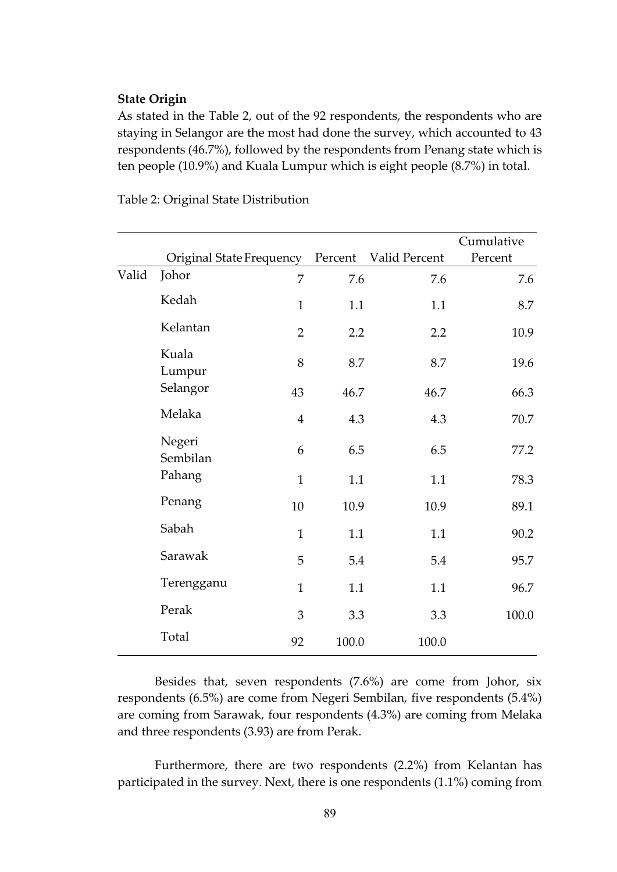#### **State Origin**

As stated in the Table 2, out of the 92 respondents, the respondents who are staying in Selangor are the most had done the survey, which accounted to 43 respondents (46.7%), followed by the respondents from Penang state which is ten people (10.9%) and Kuala Lumpur which is eight people (8.7%) in total.

|       |                          |                |         |               | Cumulative |
|-------|--------------------------|----------------|---------|---------------|------------|
|       | Original State Frequency |                | Percent | Valid Percent | Percent    |
| Valid | Johor                    | 7              | 7.6     | 7.6           | 7.6        |
|       | Kedah                    | $\mathbf{1}$   | 1.1     | 1.1           | 8.7        |
|       | Kelantan                 | $\overline{2}$ | 2.2     | 2.2           | 10.9       |
|       | Kuala<br>Lumpur          | 8              | 8.7     | 8.7           | 19.6       |
|       | Selangor                 | 43             | 46.7    | 46.7          | 66.3       |
|       | Melaka                   | $\overline{4}$ | 4.3     | 4.3           | 70.7       |
|       | Negeri<br>Sembilan       | 6              | 6.5     | 6.5           | 77.2       |
|       | Pahang                   | $\mathbf{1}$   | 1.1     | 1.1           | 78.3       |
|       | Penang                   | 10             | 10.9    | 10.9          | 89.1       |
|       | Sabah                    | $\mathbf{1}$   | 1.1     | 1.1           | 90.2       |
|       | Sarawak                  | 5              | 5.4     | 5.4           | 95.7       |
|       | Terengganu               | $\mathbf{1}$   | 1.1     | 1.1           | 96.7       |
|       | Perak                    | 3              | 3.3     | 3.3           | 100.0      |
|       | Total                    | 92             | 100.0   | 100.0         |            |

Table 2: Original State Distribution

Besides that, seven respondents (7.6%) are come from Johor, six respondents (6.5%) are come from Negeri Sembilan, five respondents (5.4%) are coming from Sarawak, four respondents (4.3%) are coming from Melaka and three respondents (3.93) are from Perak.

Furthermore, there are two respondents (2.2%) from Kelantan has participated in the survey. Next, there is one respondents (1.1%) coming from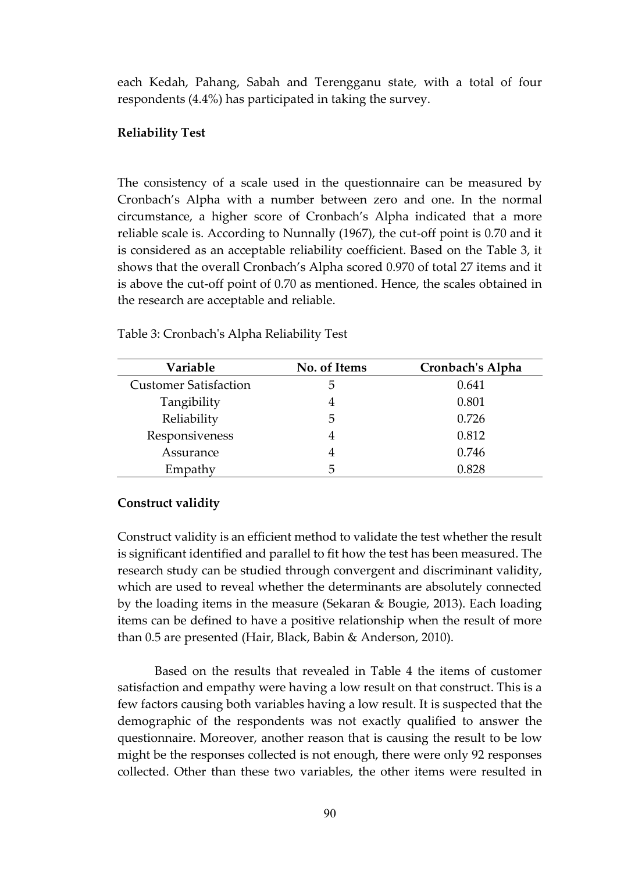each Kedah, Pahang, Sabah and Terengganu state, with a total of four respondents (4.4%) has participated in taking the survey.

## **Reliability Test**

The consistency of a scale used in the questionnaire can be measured by Cronbach's Alpha with a number between zero and one. In the normal circumstance, a higher score of Cronbach's Alpha indicated that a more reliable scale is. According to Nunnally (1967), the cut-off point is 0.70 and it is considered as an acceptable reliability coefficient. Based on the Table 3, it shows that the overall Cronbach's Alpha scored 0.970 of total 27 items and it is above the cut-off point of 0.70 as mentioned. Hence, the scales obtained in the research are acceptable and reliable.

| Variable                     | No. of Items | Cronbach's Alpha |
|------------------------------|--------------|------------------|
| <b>Customer Satisfaction</b> | 5            | 0.641            |
| Tangibility                  |              | 0.801            |
| Reliability                  | 5            | 0.726            |
| Responsiveness               |              | 0.812            |
| Assurance                    |              | 0.746            |
| Empathy                      | 5            | 0.828            |

Table 3: Cronbach's Alpha Reliability Test

## **Construct validity**

Construct validity is an efficient method to validate the test whether the result is significant identified and parallel to fit how the test has been measured. The research study can be studied through convergent and discriminant validity, which are used to reveal whether the determinants are absolutely connected by the loading items in the measure (Sekaran & Bougie, 2013). Each loading items can be defined to have a positive relationship when the result of more than 0.5 are presented (Hair, Black, Babin & Anderson, 2010).

Based on the results that revealed in Table 4 the items of customer satisfaction and empathy were having a low result on that construct. This is a few factors causing both variables having a low result. It is suspected that the demographic of the respondents was not exactly qualified to answer the questionnaire. Moreover, another reason that is causing the result to be low might be the responses collected is not enough, there were only 92 responses collected. Other than these two variables, the other items were resulted in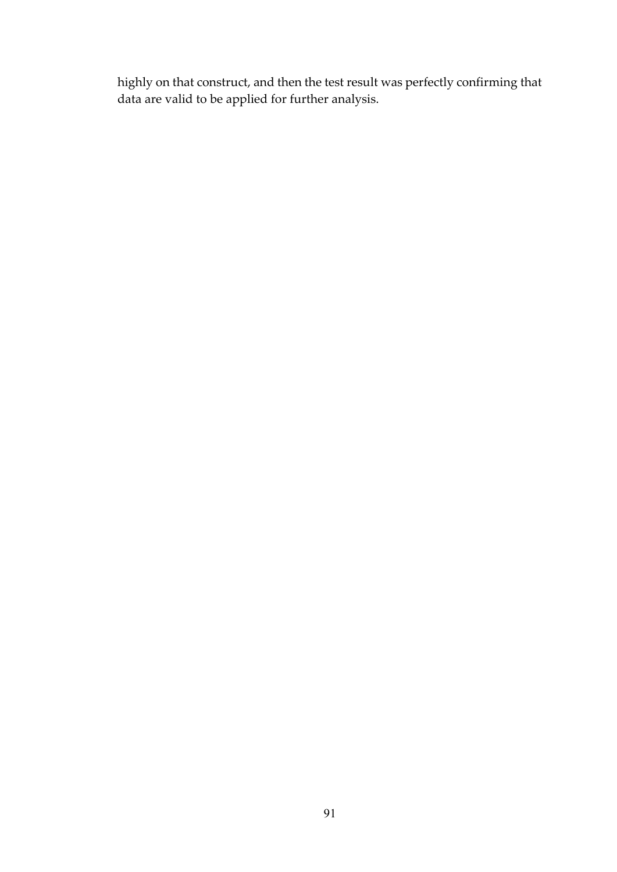highly on that construct, and then the test result was perfectly confirming that data are valid to be applied for further analysis.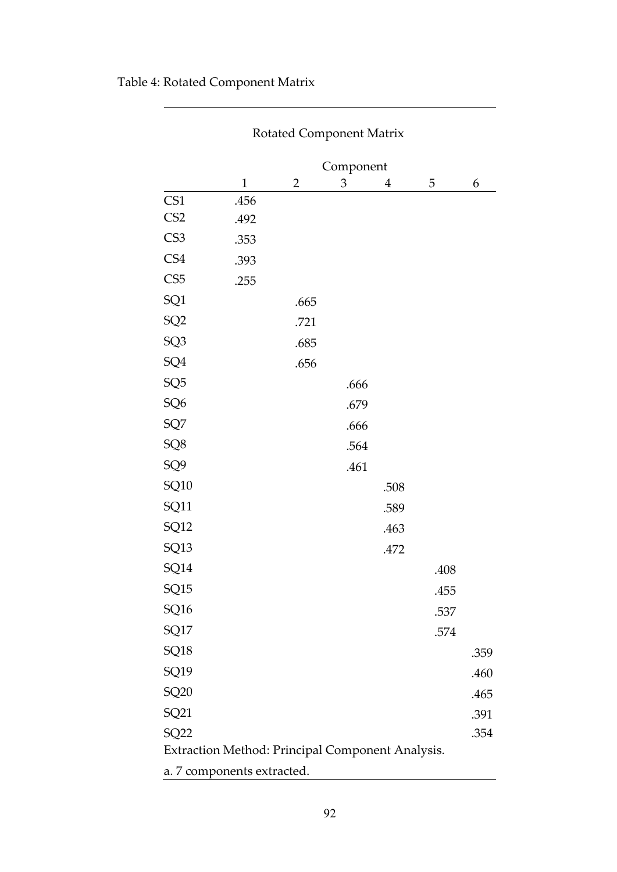| Rotated Component Matrix |                                                  |      |      |      |      |      |  |  |
|--------------------------|--------------------------------------------------|------|------|------|------|------|--|--|
|                          | Component                                        |      |      |      |      |      |  |  |
|                          | $\mathbf{1}$                                     | 2    | 3    | 4    | 5    | 6    |  |  |
| CS1                      | .456                                             |      |      |      |      |      |  |  |
| CS <sub>2</sub>          | .492                                             |      |      |      |      |      |  |  |
| CS <sub>3</sub>          | .353                                             |      |      |      |      |      |  |  |
| CS4                      | .393                                             |      |      |      |      |      |  |  |
| CS <sub>5</sub>          | .255                                             |      |      |      |      |      |  |  |
| SQ1                      |                                                  | .665 |      |      |      |      |  |  |
| SQ <sub>2</sub>          |                                                  | .721 |      |      |      |      |  |  |
| SQ <sub>3</sub>          |                                                  | .685 |      |      |      |      |  |  |
| SQ4                      |                                                  | .656 |      |      |      |      |  |  |
| SQ <sub>5</sub>          |                                                  |      | .666 |      |      |      |  |  |
| SQ <sub>6</sub>          |                                                  |      | .679 |      |      |      |  |  |
| SQ7                      |                                                  |      | .666 |      |      |      |  |  |
| SQ8                      |                                                  |      | .564 |      |      |      |  |  |
| SQ <sub>9</sub>          |                                                  |      | .461 |      |      |      |  |  |
| SQ10                     |                                                  |      |      | .508 |      |      |  |  |
| SQ11                     |                                                  |      |      | .589 |      |      |  |  |
| SQ12                     |                                                  |      |      | .463 |      |      |  |  |
| SQ13                     |                                                  |      |      | .472 |      |      |  |  |
| SQ14                     |                                                  |      |      |      | .408 |      |  |  |
| SQ15                     |                                                  |      |      |      | .455 |      |  |  |
| SQ16                     |                                                  |      |      |      | .537 |      |  |  |
| SQ17                     |                                                  |      |      |      | .574 |      |  |  |
| SQ18                     |                                                  |      |      |      |      | .359 |  |  |
| SQ19                     |                                                  |      |      |      |      | .460 |  |  |
| SQ20                     |                                                  |      |      |      |      | .465 |  |  |
| SQ21                     |                                                  |      |      |      |      | .391 |  |  |
| <b>SQ22</b>              |                                                  |      |      |      |      | .354 |  |  |
|                          | Extraction Method: Principal Component Analysis. |      |      |      |      |      |  |  |
|                          | a. 7 components extracted.                       |      |      |      |      |      |  |  |

# Table 4: Rotated Component Matrix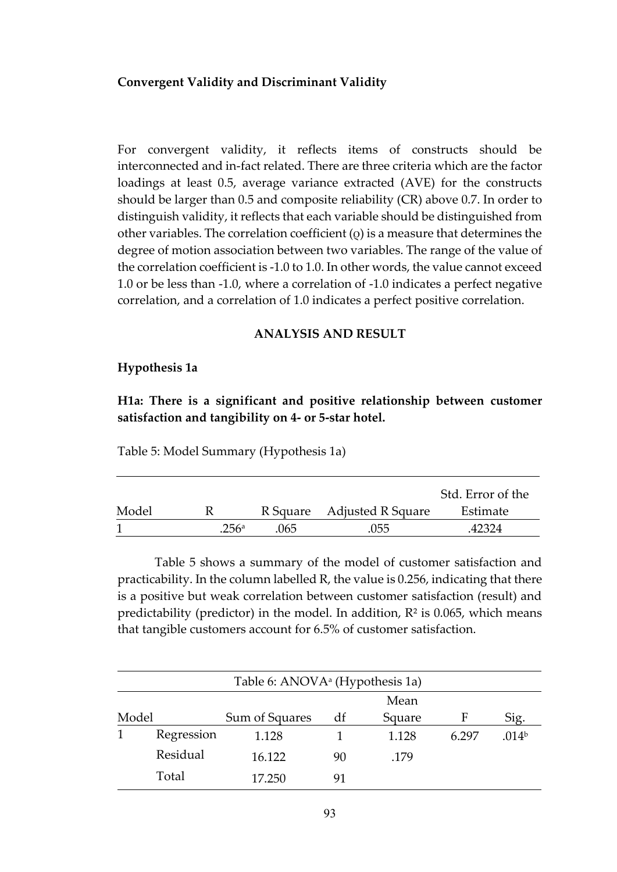## **Convergent Validity and Discriminant Validity**

For convergent validity, it reflects items of constructs should be interconnected and in-fact related. There are three criteria which are the factor loadings at least 0.5, average variance extracted (AVE) for the constructs should be larger than 0.5 and composite reliability (CR) above 0.7. In order to distinguish validity, it reflects that each variable should be distinguished from other variables. The correlation coefficient (ρ) is a measure that determines the degree of motion association between two variables. The range of the value of the correlation coefficient is -1.0 to 1.0. In other words, the value cannot exceed 1.0 or be less than -1.0, where a correlation of -1.0 indicates a perfect negative correlation, and a correlation of 1.0 indicates a perfect positive correlation.

## **ANALYSIS AND RESULT**

#### **Hypothesis 1a**

**H1a: There is a significant and positive relationship between customer satisfaction and tangibility on 4- or 5-star hotel.**

Table 5: Model Summary (Hypothesis 1a)

|       |      |     |                            | Std. Error of the |
|-------|------|-----|----------------------------|-------------------|
| Model |      |     | R Square Adjusted R Square | Estimate          |
|       | 256a | 065 | .055                       | 42324             |

Table 5 shows a summary of the model of customer satisfaction and practicability. In the column labelled R, the value is 0.256, indicating that there is a positive but weak correlation between customer satisfaction (result) and predictability (predictor) in the model. In addition,  $R^2$  is 0.065, which means that tangible customers account for 6.5% of customer satisfaction.

|       | Table 6: ANOVA <sup>a</sup> (Hypothesis 1a) |                |    |        |       |                   |  |  |  |
|-------|---------------------------------------------|----------------|----|--------|-------|-------------------|--|--|--|
| Mean  |                                             |                |    |        |       |                   |  |  |  |
| Model |                                             | Sum of Squares | df | Square | F     | Sig.              |  |  |  |
|       | Regression                                  | 1.128          |    | 1.128  | 6.297 | .014 <sup>b</sup> |  |  |  |
|       | Residual                                    | 16.122         | 90 | .179   |       |                   |  |  |  |
|       | Total                                       | 17.250         | 91 |        |       |                   |  |  |  |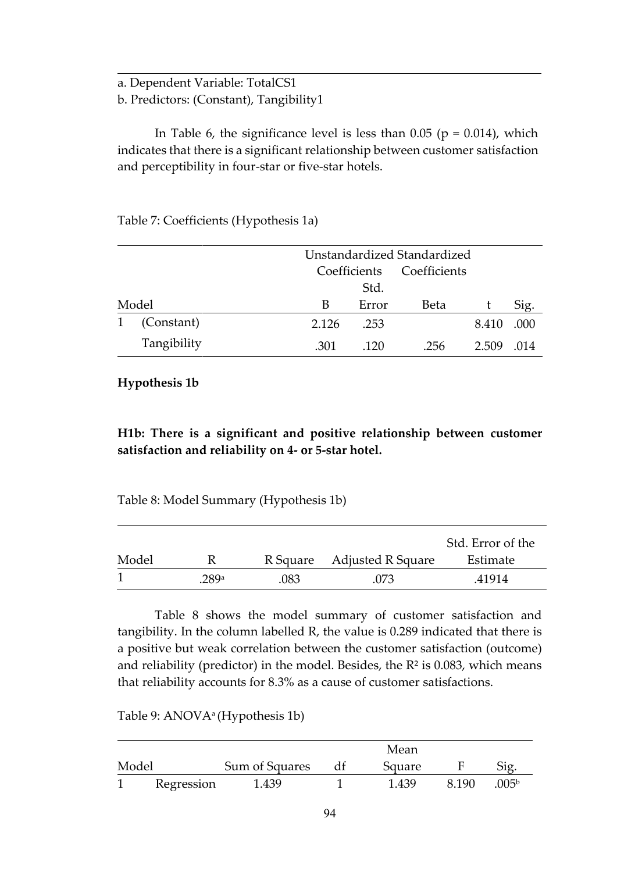a. Dependent Variable: TotalCS1

b. Predictors: (Constant), Tangibility1

In Table 6, the significance level is less than  $0.05$  ( $p = 0.014$ ), which indicates that there is a significant relationship between customer satisfaction and perceptibility in four-star or five-star hotels.

Table 7: Coefficients (Hypothesis 1a)

| Unstandardized Standardized |             |       |                           |             |       |      |
|-----------------------------|-------------|-------|---------------------------|-------------|-------|------|
|                             |             |       | Coefficients Coefficients |             |       |      |
|                             |             |       | Std.                      |             |       |      |
|                             | Model       | B     | Error                     | <b>Beta</b> |       | Sig. |
| 1                           | (Constant)  | 2.126 | .253                      |             | 8.410 | .000 |
|                             | Tangibility | .301  | 120                       | .256        | 2.509 | -014 |

## **Hypothesis 1b**

**H1b: There is a significant and positive relationship between customer satisfaction and reliability on 4- or 5-star hotel.**

Table 8: Model Summary (Hypothesis 1b)

|       |      |      |                            | Std. Error of the |
|-------|------|------|----------------------------|-------------------|
| Model |      |      | R Square Adjusted R Square | Estimate          |
|       | 289a | .083 | 073                        | .41914            |

Table 8 shows the model summary of customer satisfaction and tangibility. In the column labelled R, the value is 0.289 indicated that there is a positive but weak correlation between the customer satisfaction (outcome) and reliability (predictor) in the model. Besides, the  $R<sup>2</sup>$  is 0.083, which means that reliability accounts for 8.3% as a cause of customer satisfactions.

Table 9: ANOVAa (Hypothesis 1b)

|       |            |                | Mean   |         |                   |
|-------|------------|----------------|--------|---------|-------------------|
| Model |            | Sum of Squares | Square |         | Sig               |
|       | Regression | 1.439          | 1.439  | 8 1 9 0 | .005 <sup>b</sup> |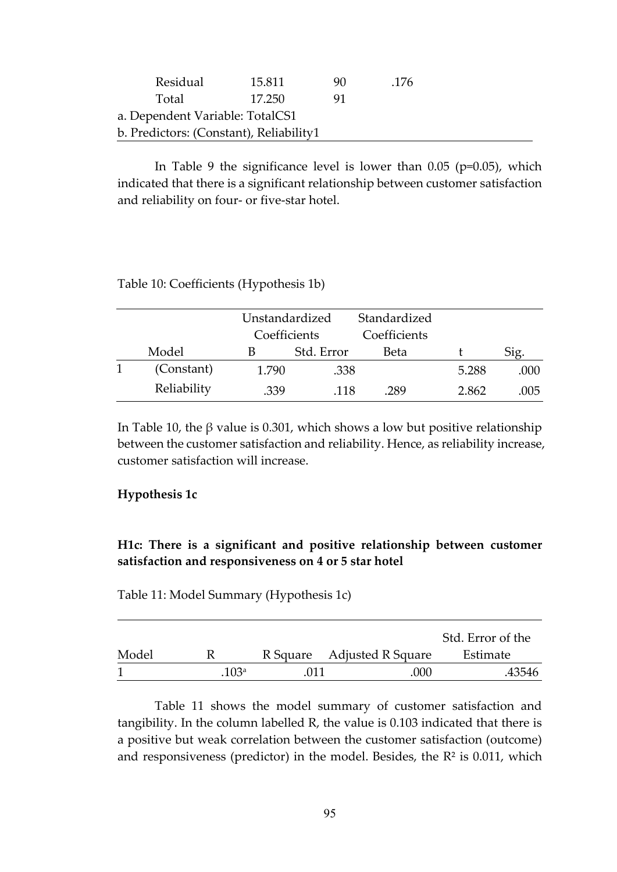| Residual                                | 15.811 | 90 | -176 |  |  |  |
|-----------------------------------------|--------|----|------|--|--|--|
| Total                                   | 17 250 |    |      |  |  |  |
| a. Dependent Variable: TotalCS1         |        |    |      |  |  |  |
| b. Predictors: (Constant), Reliability1 |        |    |      |  |  |  |

In Table 9 the significance level is lower than  $0.05$  (p=0.05), which indicated that there is a significant relationship between customer satisfaction and reliability on four- or five-star hotel.

#### Table 10: Coefficients (Hypothesis 1b)

|             | Unstandardized |            | Standardized |       |      |
|-------------|----------------|------------|--------------|-------|------|
|             | Coefficients   |            | Coefficients |       |      |
| Model       |                | Std. Error | Beta         |       | Sig. |
| (Constant)  | 1.790          | .338       |              | 5.288 | .000 |
| Reliability | .339           | -118       | .289         | 2.862 | .005 |

In Table 10, the β value is 0.301, which shows a low but positive relationship between the customer satisfaction and reliability. Hence, as reliability increase, customer satisfaction will increase.

#### **Hypothesis 1c**

## **H1c: There is a significant and positive relationship between customer satisfaction and responsiveness on 4 or 5 star hotel**

Table 11: Model Summary (Hypothesis 1c)

|       |                  |                            | Std. Error of the |
|-------|------------------|----------------------------|-------------------|
| Model |                  | R Square Adjusted R Square | Estimate          |
|       | 103 <sup>a</sup> | .000                       | .43546            |

Table 11 shows the model summary of customer satisfaction and tangibility. In the column labelled R, the value is 0.103 indicated that there is a positive but weak correlation between the customer satisfaction (outcome) and responsiveness (predictor) in the model. Besides, the  $R<sup>2</sup>$  is 0.011, which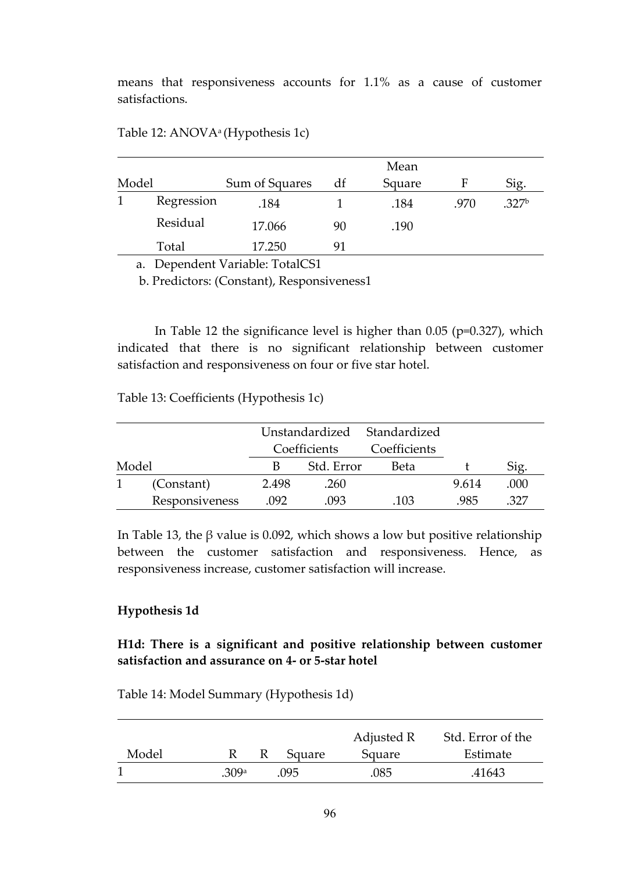means that responsiveness accounts for 1.1% as a cause of customer satisfactions.

|       |            |                |    | Mean   |      |                   |
|-------|------------|----------------|----|--------|------|-------------------|
| Model |            | Sum of Squares | df | Square | F    | Sig.              |
|       | Regression | .184           |    | .184   | .970 | .327 <sup>b</sup> |
|       | Residual   | 17.066         | 90 | .190   |      |                   |
|       | Total      | 17.250         | 91 |        |      |                   |

Table 12: ANOVAa (Hypothesis 1c)

a. Dependent Variable: TotalCS1

b. Predictors: (Constant), Responsiveness1

 In Table 12 the significance level is higher than 0.05 (p=0.327), which indicated that there is no significant relationship between customer satisfaction and responsiveness on four or five star hotel.

Table 13: Coefficients (Hypothesis 1c)

|       |                |       |              | Unstandardized Standardized |       |      |
|-------|----------------|-------|--------------|-----------------------------|-------|------|
|       |                |       | Coefficients | Coefficients                |       |      |
| Model |                | В     | Std. Error   | <b>Beta</b>                 |       | Sig. |
|       | (Constant)     | 2.498 | .260         |                             | 9.614 | .000 |
|       | Responsiveness | .092  | .093         | .103                        | 985   | 327  |

In Table 13, the β value is 0.092, which shows a low but positive relationship between the customer satisfaction and responsiveness. Hence, as responsiveness increase, customer satisfaction will increase.

#### **Hypothesis 1d**

## **H1d: There is a significant and positive relationship between customer satisfaction and assurance on 4- or 5-star hotel**

Table 14: Model Summary (Hypothesis 1d)

|       |      |        | Adjusted R | Std. Error of the |
|-------|------|--------|------------|-------------------|
| Model |      | Square | Square     | Estimate          |
|       | 309a | .095   | 085        | .41643            |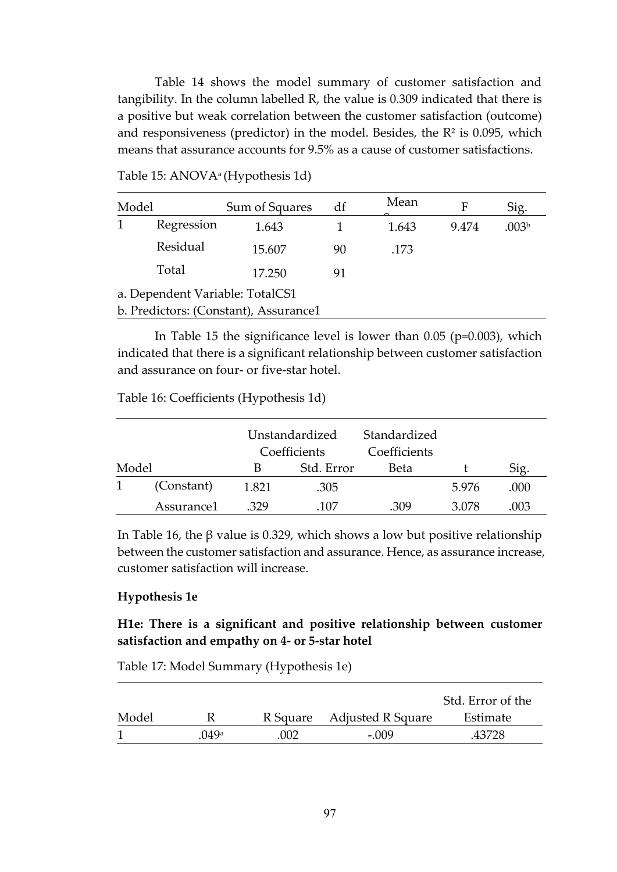Table 14 shows the model summary of customer satisfaction and tangibility. In the column labelled R, the value is 0.309 indicated that there is a positive but weak correlation between the customer satisfaction (outcome) and responsiveness (predictor) in the model. Besides, the  $R<sup>2</sup>$  is 0.095, which means that assurance accounts for 9.5% as a cause of customer satisfactions.

| Model                           |            | Sum of Squares                        | df | Mean  | F     | Sig.              |
|---------------------------------|------------|---------------------------------------|----|-------|-------|-------------------|
|                                 | Regression | 1.643                                 |    | 1.643 | 9.474 | .003 <sup>b</sup> |
|                                 | Residual   | 15.607                                | 90 | .173  |       |                   |
|                                 | Total      | 17.250                                | 91 |       |       |                   |
| a. Dependent Variable: TotalCS1 |            |                                       |    |       |       |                   |
|                                 |            | b. Predictors: (Constant), Assurance1 |    |       |       |                   |

Table 15: ANOVAa (Hypothesis 1d)

In Table 15 the significance level is lower than 0.05 (p=0.003), which indicated that there is a significant relationship between customer satisfaction and assurance on four- or five-star hotel.

Table 16: Coefficients (Hypothesis 1d)

|       |            |       | Unstandardized<br>Coefficients | Standardized<br>Coefficients |       |      |
|-------|------------|-------|--------------------------------|------------------------------|-------|------|
| Model |            | В     | Std. Error                     | Beta                         |       | Sig. |
|       | (Constant) | 1.821 | .305                           |                              | 5.976 | .000 |
|       | Assurance1 | -329  | 107                            | 309                          | 3.078 | 003  |

In Table 16, the β value is 0.329, which shows a low but positive relationship between the customer satisfaction and assurance. Hence, as assurance increase, customer satisfaction will increase.

## **Hypothesis 1e**

## **H1e: There is a significant and positive relationship between customer satisfaction and empathy on 4- or 5-star hotel**

Table 17: Model Summary (Hypothesis 1e)

|       |      |      |                            | Std. Error of the |
|-------|------|------|----------------------------|-------------------|
| Model |      |      | R Square Adjusted R Square | Estimate          |
|       | 049a | .002 | - 009                      | .43728            |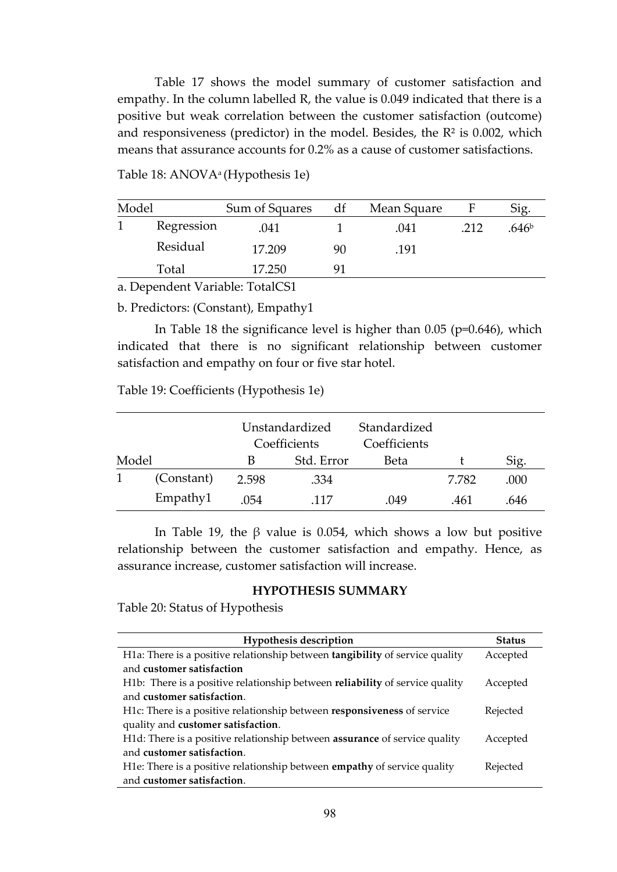Table 17 shows the model summary of customer satisfaction and empathy. In the column labelled R, the value is 0.049 indicated that there is a positive but weak correlation between the customer satisfaction (outcome) and responsiveness (predictor) in the model. Besides, the  $R<sup>2</sup>$  is 0.002, which means that assurance accounts for 0.2% as a cause of customer satisfactions.

| Model             |              | Sum of Squares | df | Mean Square | F    | Sig.              |
|-------------------|--------------|----------------|----|-------------|------|-------------------|
|                   | Regression   | .041           |    | .041        | .212 | .646 <sup>b</sup> |
|                   | Residual     | 17.209         | 90 | .191        |      |                   |
|                   | Total        | 17.250         |    |             |      |                   |
| $\mathbf{\Gamma}$ | $\mathbf{r}$ | $T \cdot 1001$ |    |             |      |                   |

Table 18: ANOVAa (Hypothesis 1e)

a. Dependent Variable: TotalCS1

b. Predictors: (Constant), Empathy1

In Table 18 the significance level is higher than 0.05 (p=0.646), which indicated that there is no significant relationship between customer satisfaction and empathy on four or five star hotel.

Table 19: Coefficients (Hypothesis 1e)

|       |            |       | Unstandardized<br>Coefficients | Standardized<br>Coefficients |       |      |
|-------|------------|-------|--------------------------------|------------------------------|-------|------|
| Model |            | В     | Std. Error                     | <b>Beta</b>                  |       | Sig. |
|       | (Constant) | 2.598 | .334                           |                              | 7.782 | .000 |
|       | Empathy1   | 0.54  | -117                           | .049                         | .461  | .646 |

In Table 19, the β value is 0.054, which shows a low but positive relationship between the customer satisfaction and empathy. Hence, as assurance increase, customer satisfaction will increase.

## **HYPOTHESIS SUMMARY**

Table 20: Status of Hypothesis

| <b>Hypothesis description</b>                                                     | <b>Status</b> |
|-----------------------------------------------------------------------------------|---------------|
| H1a: There is a positive relationship between tangibility of service quality      | Accepted      |
| and customer satisfaction                                                         |               |
| H1b: There is a positive relationship between reliability of service quality      | Accepted      |
| and customer satisfaction.                                                        |               |
| H1c: There is a positive relationship between responsiveness of service           | Rejected      |
| quality and customer satisfaction.                                                |               |
| H1d: There is a positive relationship between <b>assurance</b> of service quality | Accepted      |
| and customer satisfaction.                                                        |               |
| H1e: There is a positive relationship between <b>empathy</b> of service quality   | Rejected      |
| and customer satisfaction.                                                        |               |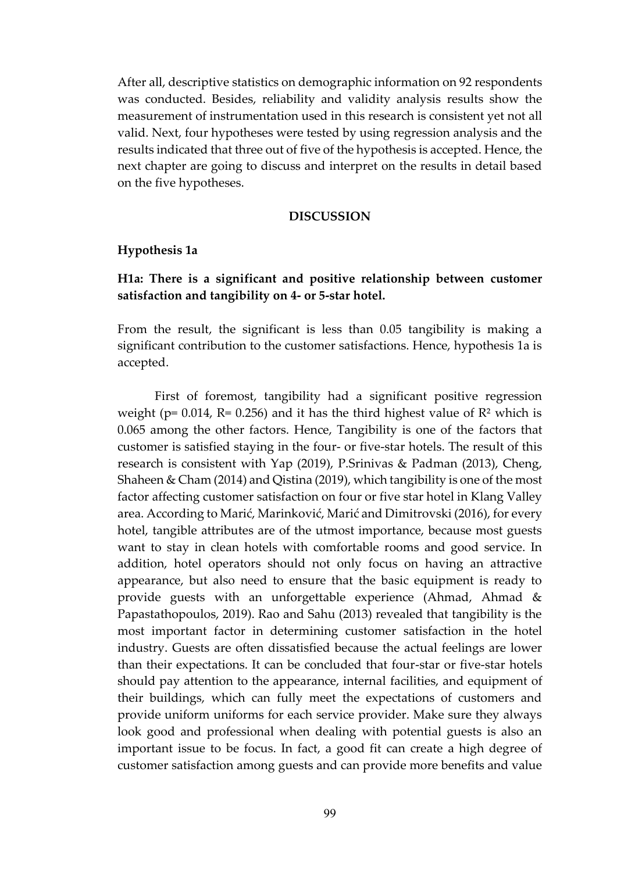After all, descriptive statistics on demographic information on 92 respondents was conducted. Besides, reliability and validity analysis results show the measurement of instrumentation used in this research is consistent yet not all valid. Next, four hypotheses were tested by using regression analysis and the results indicated that three out of five of the hypothesis is accepted. Hence, the next chapter are going to discuss and interpret on the results in detail based on the five hypotheses.

#### **DISCUSSION**

#### **Hypothesis 1a**

## **H1a: There is a significant and positive relationship between customer satisfaction and tangibility on 4- or 5-star hotel.**

From the result, the significant is less than 0.05 tangibility is making a significant contribution to the customer satisfactions. Hence, hypothesis 1a is accepted.

First of foremost, tangibility had a significant positive regression weight ( $p= 0.014$ ,  $R= 0.256$ ) and it has the third highest value of  $R<sup>2</sup>$  which is 0.065 among the other factors. Hence, Tangibility is one of the factors that customer is satisfied staying in the four- or five-star hotels. The result of this research is consistent with Yap (2019), P.Srinivas & Padman (2013), Cheng, Shaheen & Cham (2014) and Qistina (2019), which tangibility is one of the most factor affecting customer satisfaction on four or five star hotel in Klang Valley area. According to Marić, Marinković, Marić and Dimitrovski (2016), for every hotel, tangible attributes are of the utmost importance, because most guests want to stay in clean hotels with comfortable rooms and good service. In addition, hotel operators should not only focus on having an attractive appearance, but also need to ensure that the basic equipment is ready to provide guests with an unforgettable experience (Ahmad, Ahmad & Papastathopoulos, 2019). Rao and Sahu (2013) revealed that tangibility is the most important factor in determining customer satisfaction in the hotel industry. Guests are often dissatisfied because the actual feelings are lower than their expectations. It can be concluded that four-star or five-star hotels should pay attention to the appearance, internal facilities, and equipment of their buildings, which can fully meet the expectations of customers and provide uniform uniforms for each service provider. Make sure they always look good and professional when dealing with potential guests is also an important issue to be focus. In fact, a good fit can create a high degree of customer satisfaction among guests and can provide more benefits and value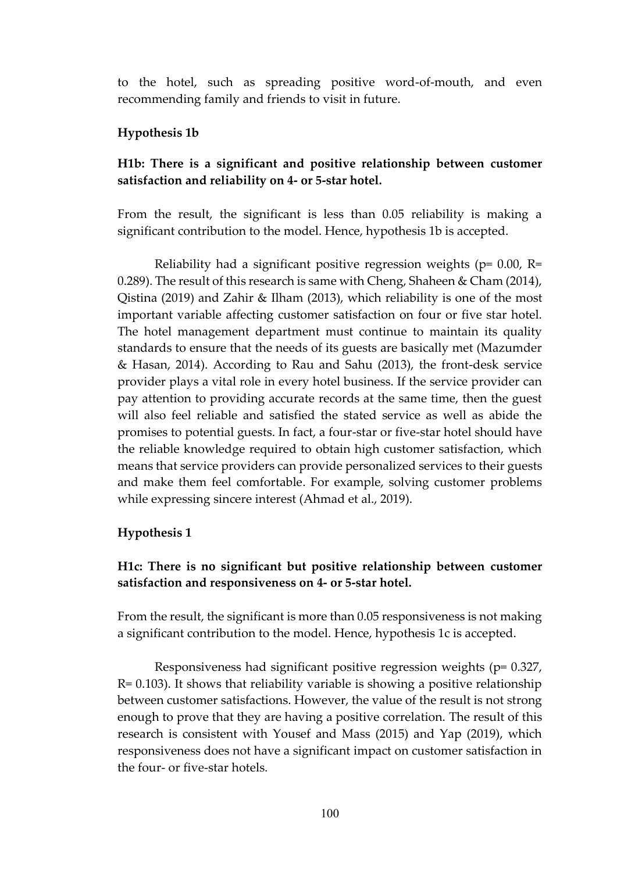to the hotel, such as spreading positive word-of-mouth, and even recommending family and friends to visit in future.

## **Hypothesis 1b**

## **H1b: There is a significant and positive relationship between customer satisfaction and reliability on 4- or 5-star hotel.**

From the result, the significant is less than 0.05 reliability is making a significant contribution to the model. Hence, hypothesis 1b is accepted.

Reliability had a significant positive regression weights ( $p= 0.00$ , R= 0.289). The result of this research is same with Cheng, Shaheen & Cham (2014), Qistina (2019) and Zahir & Ilham (2013), which reliability is one of the most important variable affecting customer satisfaction on four or five star hotel. The hotel management department must continue to maintain its quality standards to ensure that the needs of its guests are basically met (Mazumder & Hasan, 2014). According to Rau and Sahu (2013), the front-desk service provider plays a vital role in every hotel business. If the service provider can pay attention to providing accurate records at the same time, then the guest will also feel reliable and satisfied the stated service as well as abide the promises to potential guests. In fact, a four-star or five-star hotel should have the reliable knowledge required to obtain high customer satisfaction, which means that service providers can provide personalized services to their guests and make them feel comfortable. For example, solving customer problems while expressing sincere interest (Ahmad et al., 2019).

#### **Hypothesis 1**

## **H1c: There is no significant but positive relationship between customer satisfaction and responsiveness on 4- or 5-star hotel.**

From the result, the significant is more than 0.05 responsiveness is not making a significant contribution to the model. Hence, hypothesis 1c is accepted.

Responsiveness had significant positive regression weights (p= 0.327, R= 0.103). It shows that reliability variable is showing a positive relationship between customer satisfactions. However, the value of the result is not strong enough to prove that they are having a positive correlation. The result of this research is consistent with Yousef and Mass (2015) and Yap (2019), which responsiveness does not have a significant impact on customer satisfaction in the four- or five-star hotels.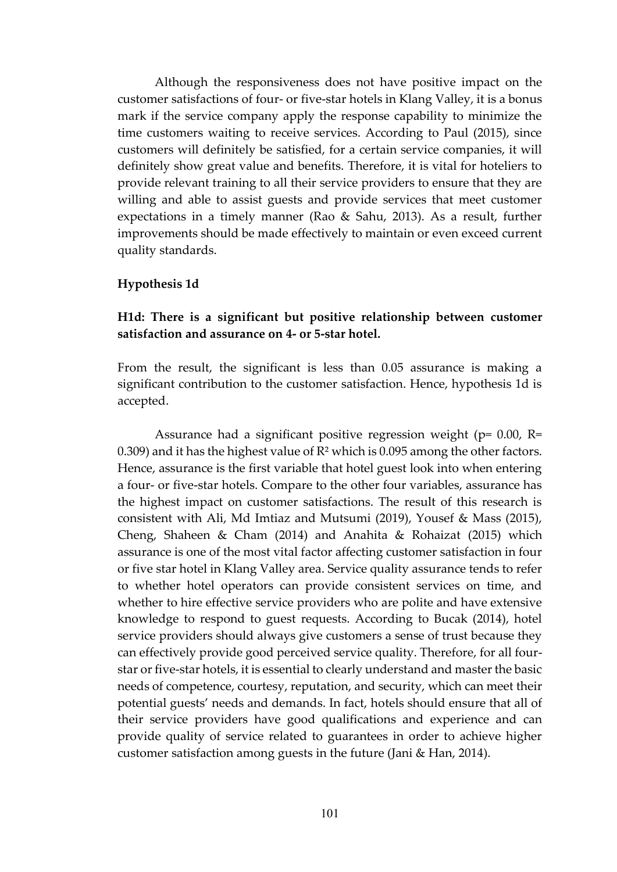Although the responsiveness does not have positive impact on the customer satisfactions of four- or five-star hotels in Klang Valley, it is a bonus mark if the service company apply the response capability to minimize the time customers waiting to receive services. According to Paul (2015), since customers will definitely be satisfied, for a certain service companies, it will definitely show great value and benefits. Therefore, it is vital for hoteliers to provide relevant training to all their service providers to ensure that they are willing and able to assist guests and provide services that meet customer expectations in a timely manner (Rao & Sahu, 2013). As a result, further improvements should be made effectively to maintain or even exceed current quality standards.

#### **Hypothesis 1d**

## **H1d: There is a significant but positive relationship between customer satisfaction and assurance on 4- or 5-star hotel.**

From the result, the significant is less than 0.05 assurance is making a significant contribution to the customer satisfaction. Hence, hypothesis 1d is accepted.

Assurance had a significant positive regression weight ( $p= 0.00$ , R= 0.309) and it has the highest value of  $R<sup>2</sup>$  which is 0.095 among the other factors. Hence, assurance is the first variable that hotel guest look into when entering a four- or five-star hotels. Compare to the other four variables, assurance has the highest impact on customer satisfactions. The result of this research is consistent with Ali, Md Imtiaz and Mutsumi (2019), Yousef & Mass (2015), Cheng, Shaheen & Cham (2014) and Anahita & Rohaizat (2015) which assurance is one of the most vital factor affecting customer satisfaction in four or five star hotel in Klang Valley area. Service quality assurance tends to refer to whether hotel operators can provide consistent services on time, and whether to hire effective service providers who are polite and have extensive knowledge to respond to guest requests. According to Bucak (2014), hotel service providers should always give customers a sense of trust because they can effectively provide good perceived service quality. Therefore, for all fourstar or five-star hotels, it is essential to clearly understand and master the basic needs of competence, courtesy, reputation, and security, which can meet their potential guests' needs and demands. In fact, hotels should ensure that all of their service providers have good qualifications and experience and can provide quality of service related to guarantees in order to achieve higher customer satisfaction among guests in the future (Jani & Han, 2014).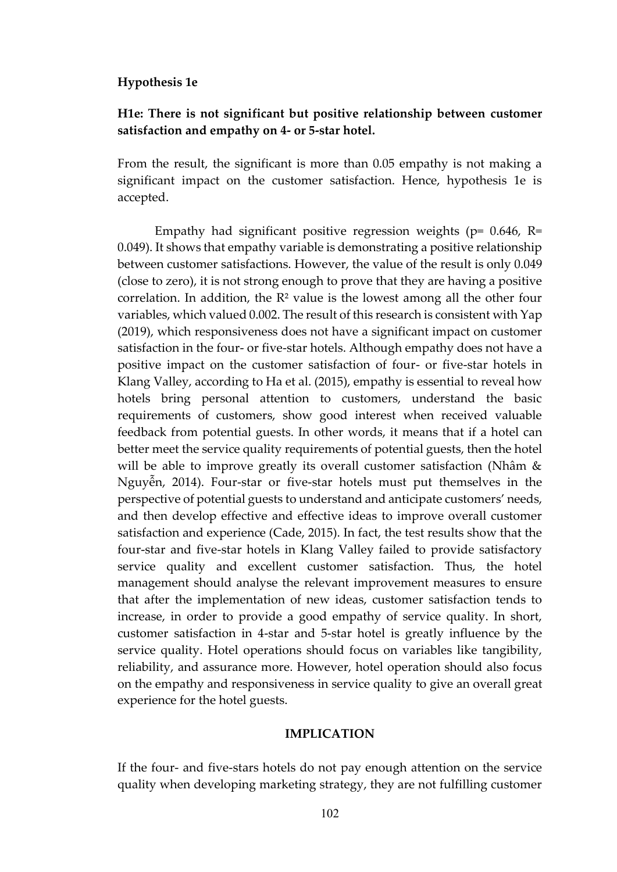#### **Hypothesis 1e**

## **H1e: There is not significant but positive relationship between customer satisfaction and empathy on 4- or 5-star hotel.**

From the result, the significant is more than 0.05 empathy is not making a significant impact on the customer satisfaction. Hence, hypothesis 1e is accepted.

Empathy had significant positive regression weights ( $p= 0.646$ , R= 0.049). It shows that empathy variable is demonstrating a positive relationship between customer satisfactions. However, the value of the result is only 0.049 (close to zero), it is not strong enough to prove that they are having a positive correlation. In addition, the R² value is the lowest among all the other four variables, which valued 0.002. The result of this research is consistent with Yap (2019), which responsiveness does not have a significant impact on customer satisfaction in the four- or five-star hotels. Although empathy does not have a positive impact on the customer satisfaction of four- or five-star hotels in Klang Valley, according to Ha et al. (2015), empathy is essential to reveal how hotels bring personal attention to customers, understand the basic requirements of customers, show good interest when received valuable feedback from potential guests. In other words, it means that if a hotel can better meet the service quality requirements of potential guests, then the hotel will be able to improve greatly its overall customer satisfaction (Nhâm & Nguyễn, 2014). Four-star or five-star hotels must put themselves in the perspective of potential guests to understand and anticipate customers' needs, and then develop effective and effective ideas to improve overall customer satisfaction and experience (Cade, 2015). In fact, the test results show that the four-star and five-star hotels in Klang Valley failed to provide satisfactory service quality and excellent customer satisfaction. Thus, the hotel management should analyse the relevant improvement measures to ensure that after the implementation of new ideas, customer satisfaction tends to increase, in order to provide a good empathy of service quality. In short, customer satisfaction in 4-star and 5-star hotel is greatly influence by the service quality. Hotel operations should focus on variables like tangibility, reliability, and assurance more. However, hotel operation should also focus on the empathy and responsiveness in service quality to give an overall great experience for the hotel guests.

#### **IMPLICATION**

If the four- and five-stars hotels do not pay enough attention on the service quality when developing marketing strategy, they are not fulfilling customer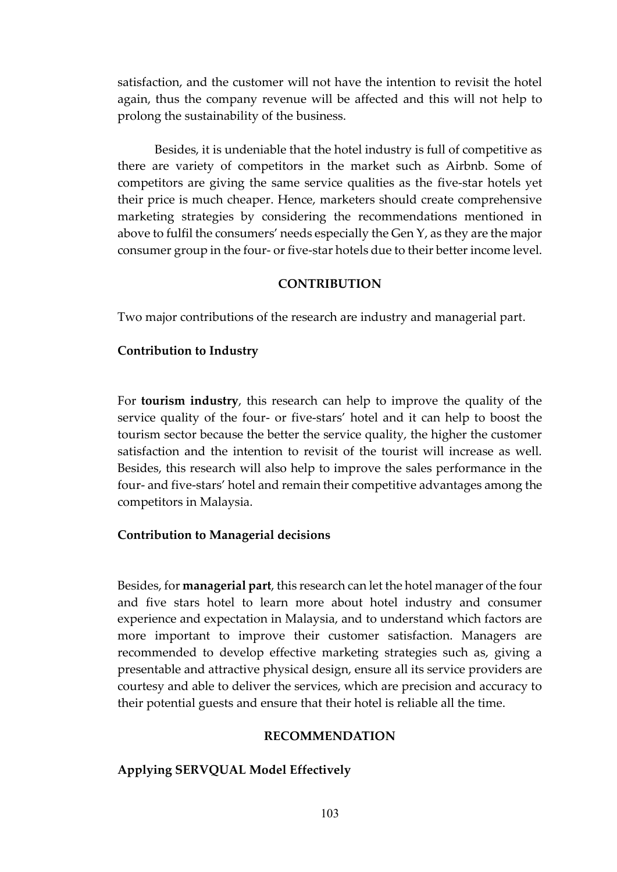satisfaction, and the customer will not have the intention to revisit the hotel again, thus the company revenue will be affected and this will not help to prolong the sustainability of the business.

Besides, it is undeniable that the hotel industry is full of competitive as there are variety of competitors in the market such as Airbnb. Some of competitors are giving the same service qualities as the five-star hotels yet their price is much cheaper. Hence, marketers should create comprehensive marketing strategies by considering the recommendations mentioned in above to fulfil the consumers' needs especially the Gen Y, as they are the major consumer group in the four- or five-star hotels due to their better income level.

#### **CONTRIBUTION**

Two major contributions of the research are industry and managerial part.

#### **Contribution to Industry**

For **tourism industry**, this research can help to improve the quality of the service quality of the four- or five-stars' hotel and it can help to boost the tourism sector because the better the service quality, the higher the customer satisfaction and the intention to revisit of the tourist will increase as well. Besides, this research will also help to improve the sales performance in the four- and five-stars' hotel and remain their competitive advantages among the competitors in Malaysia.

## **Contribution to Managerial decisions**

Besides, for **managerial part**, this research can let the hotel manager of the four and five stars hotel to learn more about hotel industry and consumer experience and expectation in Malaysia, and to understand which factors are more important to improve their customer satisfaction. Managers are recommended to develop effective marketing strategies such as, giving a presentable and attractive physical design, ensure all its service providers are courtesy and able to deliver the services, which are precision and accuracy to their potential guests and ensure that their hotel is reliable all the time.

#### **RECOMMENDATION**

#### **Applying SERVQUAL Model Effectively**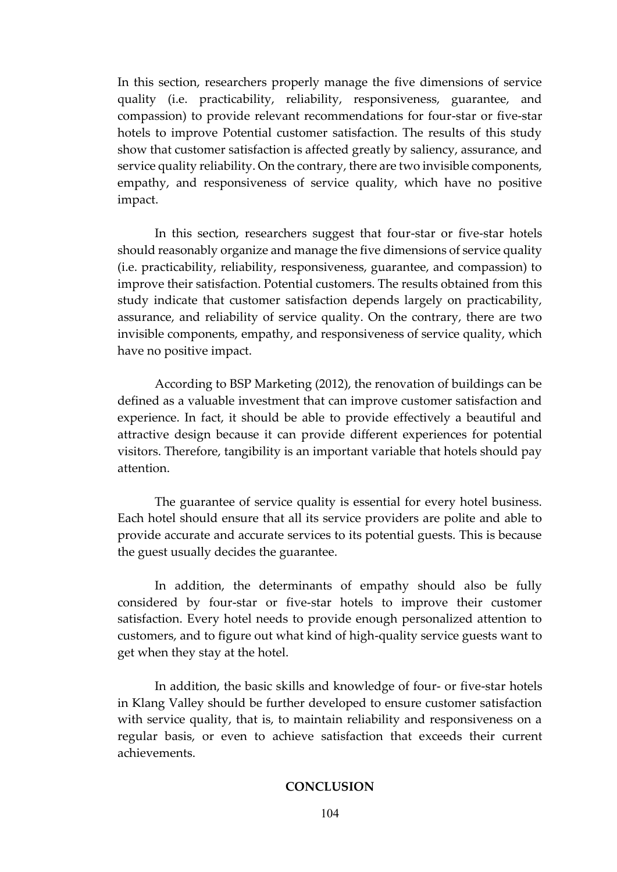In this section, researchers properly manage the five dimensions of service quality (i.e. practicability, reliability, responsiveness, guarantee, and compassion) to provide relevant recommendations for four-star or five-star hotels to improve Potential customer satisfaction. The results of this study show that customer satisfaction is affected greatly by saliency, assurance, and service quality reliability. On the contrary, there are two invisible components, empathy, and responsiveness of service quality, which have no positive impact.

In this section, researchers suggest that four-star or five-star hotels should reasonably organize and manage the five dimensions of service quality (i.e. practicability, reliability, responsiveness, guarantee, and compassion) to improve their satisfaction. Potential customers. The results obtained from this study indicate that customer satisfaction depends largely on practicability, assurance, and reliability of service quality. On the contrary, there are two invisible components, empathy, and responsiveness of service quality, which have no positive impact.

According to BSP Marketing (2012), the renovation of buildings can be defined as a valuable investment that can improve customer satisfaction and experience. In fact, it should be able to provide effectively a beautiful and attractive design because it can provide different experiences for potential visitors. Therefore, tangibility is an important variable that hotels should pay attention.

The guarantee of service quality is essential for every hotel business. Each hotel should ensure that all its service providers are polite and able to provide accurate and accurate services to its potential guests. This is because the guest usually decides the guarantee.

In addition, the determinants of empathy should also be fully considered by four-star or five-star hotels to improve their customer satisfaction. Every hotel needs to provide enough personalized attention to customers, and to figure out what kind of high-quality service guests want to get when they stay at the hotel.

In addition, the basic skills and knowledge of four- or five-star hotels in Klang Valley should be further developed to ensure customer satisfaction with service quality, that is, to maintain reliability and responsiveness on a regular basis, or even to achieve satisfaction that exceeds their current achievements.

#### **CONCLUSION**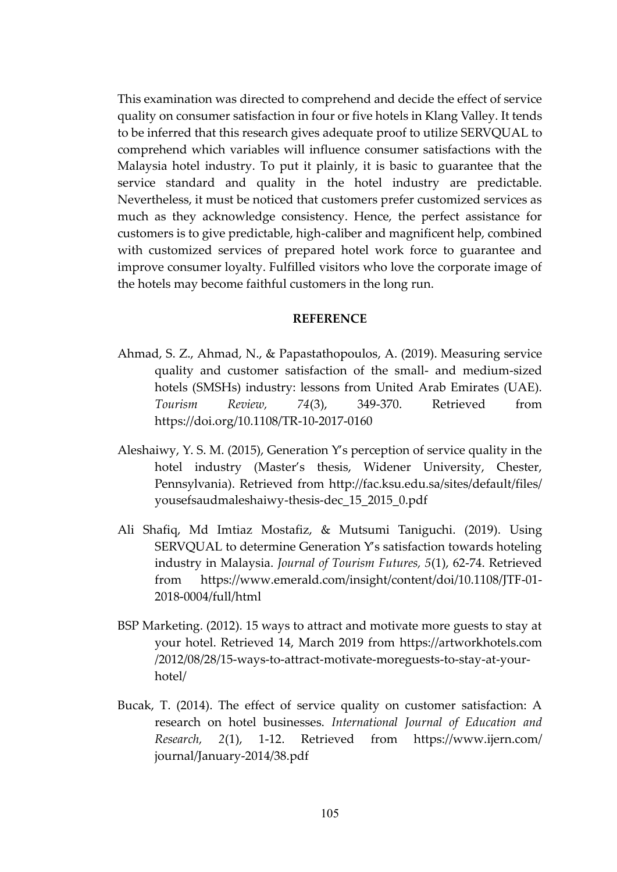This examination was directed to comprehend and decide the effect of service quality on consumer satisfaction in four or five hotels in Klang Valley. It tends to be inferred that this research gives adequate proof to utilize SERVQUAL to comprehend which variables will influence consumer satisfactions with the Malaysia hotel industry. To put it plainly, it is basic to guarantee that the service standard and quality in the hotel industry are predictable. Nevertheless, it must be noticed that customers prefer customized services as much as they acknowledge consistency. Hence, the perfect assistance for customers is to give predictable, high-caliber and magnificent help, combined with customized services of prepared hotel work force to guarantee and improve consumer loyalty. Fulfilled visitors who love the corporate image of the hotels may become faithful customers in the long run.

#### **REFERENCE**

- Ahmad, S. Z., Ahmad, N., & Papastathopoulos, A. (2019). Measuring service quality and customer satisfaction of the small- and medium-sized hotels (SMSHs) industry: lessons from United Arab Emirates (UAE). *Tourism Review, 74*(3), 349-370. Retrieved from <https://doi.org/10.1108/TR-10-2017-0160>
- Aleshaiwy, Y. S. M. (2015), Generation Y's perception of service quality in the hotel industry (Master's thesis, Widener University, Chester, Pennsylvania). Retrieved from [http://fac.ksu.edu.sa/sites/default/files/](http://fac.ksu.edu.sa/sites/default/files/%20yousefsaudmaleshaiwy-thesis-dec_15_2015_0.pdf)  [yousefsaudmaleshaiwy-thesis-dec\\_15\\_2015\\_0.pdf](http://fac.ksu.edu.sa/sites/default/files/%20yousefsaudmaleshaiwy-thesis-dec_15_2015_0.pdf)
- Ali Shafiq, Md Imtiaz Mostafiz, & Mutsumi Taniguchi. (2019). Using SERVQUAL to determine Generation Y's satisfaction towards hoteling industry in Malaysia. *Journal of Tourism Futures, 5*(1), 62-74. Retrieved from [https://www.emerald.com/insight/content/doi/10.1108/JTF-01-](https://www.emerald.com/insight/content/doi/10.1108/JTF-01-2018-0004/full/html) [2018-0004/full/html](https://www.emerald.com/insight/content/doi/10.1108/JTF-01-2018-0004/full/html)
- BSP Marketing. (2012). 15 ways to attract and motivate more guests to stay at your hotel. Retrieved 14, March 2019 from https://artworkhotels.com /2012/08/28/15-ways-to-attract-motivate-moreguests-to-stay-at-yourhotel/
- Bucak, T. (2014). The effect of service quality on customer satisfaction: A research on hotel businesses. *International Journal of Education and Research, 2*(1), 1-12. Retrieved from [https://www.ijern.com/](https://www.ijern.com/%20journal/January-2014/38.pdf)  [journal/January-2014/38.pdf](https://www.ijern.com/%20journal/January-2014/38.pdf)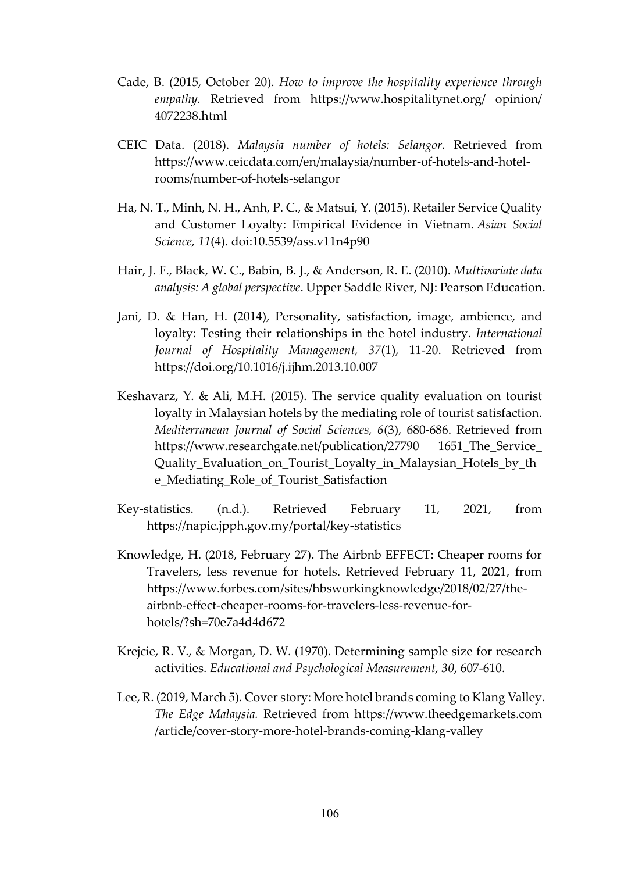- Cade, B. (2015, October 20). *How to improve the hospitality experience through empathy.* Retrieved from [https://www.hospitalitynet.org/ opinion/](https://www.hospitalitynet.org/%20opinion/%204072238.html)  [4072238.html](https://www.hospitalitynet.org/%20opinion/%204072238.html)
- CEIC Data. (2018). *Malaysia number of hotels: Selangor.* Retrieved from [https://www.ceicdata.com/en/malaysia/number-of-hotels-and-hotel](https://www.ceicdata.com/en/malaysia/number-of-hotels-and-hotel-rooms/number-of-hotels-selangor)[rooms/number-of-hotels-selangor](https://www.ceicdata.com/en/malaysia/number-of-hotels-and-hotel-rooms/number-of-hotels-selangor)
- Ha, N. T., Minh, N. H., Anh, P. C., & Matsui, Y. (2015). Retailer Service Quality and Customer Loyalty: Empirical Evidence in Vietnam. *Asian Social Science, 11*(4). doi:10.5539/ass.v11n4p90
- Hair, J. F., Black, W. C., Babin, B. J., & Anderson, R. E. (2010). *Multivariate data analysis: A global perspective*. Upper Saddle River, NJ: Pearson Education.
- Jani, D. & Han, H. (2014), Personality, satisfaction, image, ambience, and loyalty: Testing their relationships in the hotel industry. *International Journal of Hospitality Management, 37*(1), 11-20. Retrieved from <https://doi.org/10.1016/j.ijhm.2013.10.007>
- Keshavarz, Y. & Ali, M.H. (2015). The service quality evaluation on tourist loyalty in Malaysian hotels by the mediating role of tourist satisfaction. *Mediterranean Journal of Social Sciences, 6*(3), 680-686. Retrieved from [https://www.researchgate.net/publication/27790 1651\\_The\\_Service\\_](https://www.researchgate.net/publication/27790%201651_The_Service_%20Quality_Evaluation_on_Tourist_Loyalty_in_Malaysian_Hotels_by_the_Mediating_Role_of_Tourist_Satisfaction)  Quality Evaluation on Tourist Loyalty in Malaysian Hotels by the [e\\_Mediating\\_Role\\_of\\_Tourist\\_Satisfaction](https://www.researchgate.net/publication/27790%201651_The_Service_%20Quality_Evaluation_on_Tourist_Loyalty_in_Malaysian_Hotels_by_the_Mediating_Role_of_Tourist_Satisfaction)
- Key-statistics. (n.d.). Retrieved February 11, 2021, from https://napic.jpph.gov.my/portal/key-statistics
- Knowledge, H. (2018, February 27). The Airbnb EFFECT: Cheaper rooms for Travelers, less revenue for hotels. Retrieved February 11, 2021, from https://www.forbes.com/sites/hbsworkingknowledge/2018/02/27/theairbnb-effect-cheaper-rooms-for-travelers-less-revenue-forhotels/?sh=70e7a4d4d672
- Krejcie, R. V., & Morgan, D. W. (1970). Determining sample size for research activities. *Educational and Psychological Measurement, 30*, 607-610.
- Lee, R. (2019, March 5). Cover story: More hotel brands coming to Klang Valley. *The Edge Malaysia.* Retrieved from https://www.theedgemarkets.com /article/cover-story-more-hotel-brands-coming-klang-valley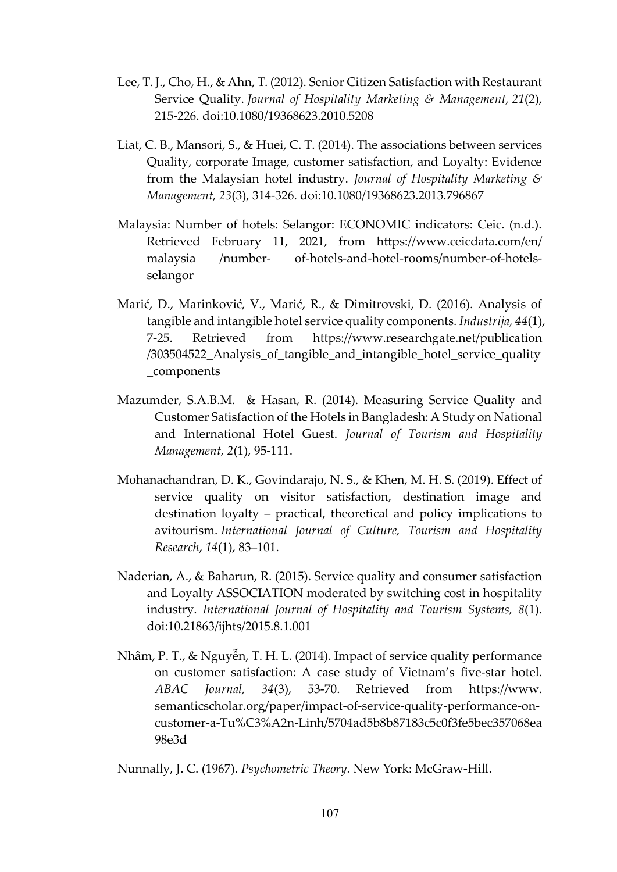- Lee, T. J., Cho, H., & Ahn, T. (2012). Senior Citizen Satisfaction with Restaurant Service Quality. *Journal of Hospitality Marketing & Management, 21*(2), 215-226. doi:10.1080/19368623.2010.5208
- Liat, C. B., Mansori, S., & Huei, C. T. (2014). The associations between services Quality, corporate Image, customer satisfaction, and Loyalty: Evidence from the Malaysian hotel industry. *Journal of Hospitality Marketing & Management, 23*(3), 314-326. doi:10.1080/19368623.2013.796867
- Malaysia: Number of hotels: Selangor: ECONOMIC indicators: Ceic. (n.d.). Retrieved February 11, 2021, from <https://www.ceicdata.com/en/> malaysia /number- of-hotels-and-hotel-rooms/number-of-hotelsselangor
- Marić, D., Marinković, V., Marić, R., & Dimitrovski, D. (2016). Analysis of tangible and intangible hotel service quality components. *Industrija, 44*(1), 7-25. Retrieved from [https://www.researchgate.net/publication](https://www.researchgate.net/publication%20/303504522_Analysis_of_tangible_and_intangible_hotel_service_quality_components)  [/303504522\\_Analysis\\_of\\_tangible\\_and\\_intangible\\_hotel\\_service\\_quality](https://www.researchgate.net/publication%20/303504522_Analysis_of_tangible_and_intangible_hotel_service_quality_components) [\\_components](https://www.researchgate.net/publication%20/303504522_Analysis_of_tangible_and_intangible_hotel_service_quality_components)
- Mazumder, S.A.B.M. & Hasan, R. (2014). Measuring Service Quality and Customer Satisfaction of the Hotels in Bangladesh: A Study on National and International Hotel Guest. *Journal of Tourism and Hospitality Management, 2*(1), 95-111.
- Mohanachandran, D. K., Govindarajo, N. S., & Khen, M. H. S. (2019). Effect of service quality on visitor satisfaction, destination image and destination loyalty – practical, theoretical and policy implications to avitourism. *International Journal of Culture, Tourism and Hospitality Research*, *14*(1), 83–101.
- Naderian, A., & Baharun, R. (2015). Service quality and consumer satisfaction and Loyalty ASSOCIATION moderated by switching cost in hospitality industry. *International Journal of Hospitality and Tourism Systems, 8*(1). doi:10.21863/ijhts/2015.8.1.001
- Nhâm, P. T., & Nguyễn, T. H. L. (2014). Impact of service quality performance on customer satisfaction: A case study of Vietnam's five-star hotel. *ABAC Journal, 34*(3), 53-70. Retrieved from https://www. semanticscholar.org/paper/impact-of-service-quality-performance-oncustomer-a-Tu%C3%A2n-Linh/5704ad5b8b87183c5c0f3fe5bec357068ea 98e3d

Nunnally, J. C. (1967). *Psychometric Theory.* New York: McGraw-Hill.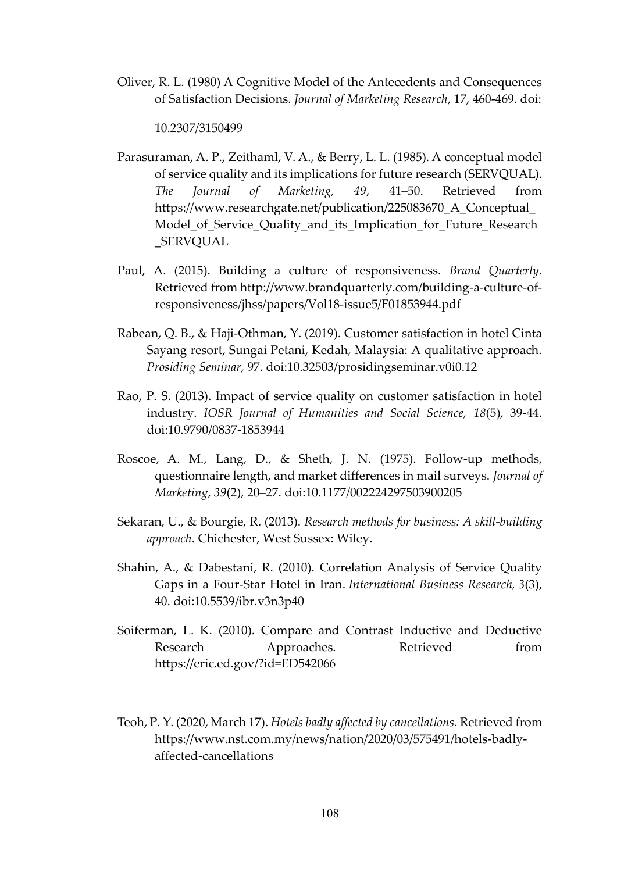Oliver, R. L. (1980) A Cognitive Model of the Antecedents and Consequences of Satisfaction Decisions. *Journal of Marketing Research*, 17, 460-469. doi:

10.2307/3150499

- Parasuraman, A. P., Zeithaml, V. A., & Berry, L. L. (1985). A conceptual model of service quality and its implications for future research (SERVQUAL). *The Journal of Marketing, 49*, 41–50. Retrieved from [https://www.researchgate.net/publication/225083670\\_A\\_Conceptual\\_](https://www.researchgate.net/publication/225083670_A_Conceptual_Model_of_Service_Quality_and_its_Implication_for_Future_Research_SERVQUAL) [Model\\_of\\_Service\\_Quality\\_and\\_its\\_Implication\\_for\\_Future\\_Research](https://www.researchgate.net/publication/225083670_A_Conceptual_Model_of_Service_Quality_and_its_Implication_for_Future_Research_SERVQUAL) [\\_SERVQUAL](https://www.researchgate.net/publication/225083670_A_Conceptual_Model_of_Service_Quality_and_its_Implication_for_Future_Research_SERVQUAL)
- Paul, A. (2015). Building a culture of responsiveness. *Brand Quarterly.*  Retrieved from http://www.brandquarterly.com/building-a-culture-ofresponsiveness/jhss/papers/Vol18-issue5/F01853944.pdf
- Rabean, Q. B., & Haji-Othman, Y. (2019). Customer satisfaction in hotel Cinta Sayang resort, Sungai Petani, Kedah, Malaysia: A qualitative approach. *Prosiding Seminar,* 97. doi:10.32503/prosidingseminar.v0i0.12
- Rao, P. S. (2013). Impact of service quality on customer satisfaction in hotel industry. *IOSR Journal of Humanities and Social Science, 18*(5), 39-44. doi:10.9790/0837-1853944
- Roscoe, A. M., Lang, D., & Sheth, J. N. (1975). Follow-up methods, questionnaire length, and market differences in mail surveys. *Journal of Marketing*, *39*(2), 20–27. doi:10.1177/002224297503900205
- Sekaran, U., & Bourgie, R. (2013). *Research methods for business: A skill-building approach*. Chichester, West Sussex: Wiley.
- Shahin, A., & Dabestani, R. (2010). Correlation Analysis of Service Quality Gaps in a Four-Star Hotel in Iran. *International Business Research, 3*(3), 40. doi:10.5539/ibr.v3n3p40
- Soiferman, L. K. (2010). Compare and Contrast Inductive and Deductive Research Approaches. Retrieved from <https://eric.ed.gov/?id=ED542066>
- Teoh, P. Y. (2020, March 17). *Hotels badly affected by cancellations.* Retrieved from [https://www.nst.com.my/news/nation/2020/03/575491/hotels-badly](https://www.nst.com.my/news/nation/2020/03/575491/hotels-badly-affected-cancellations)[affected-cancellations](https://www.nst.com.my/news/nation/2020/03/575491/hotels-badly-affected-cancellations)